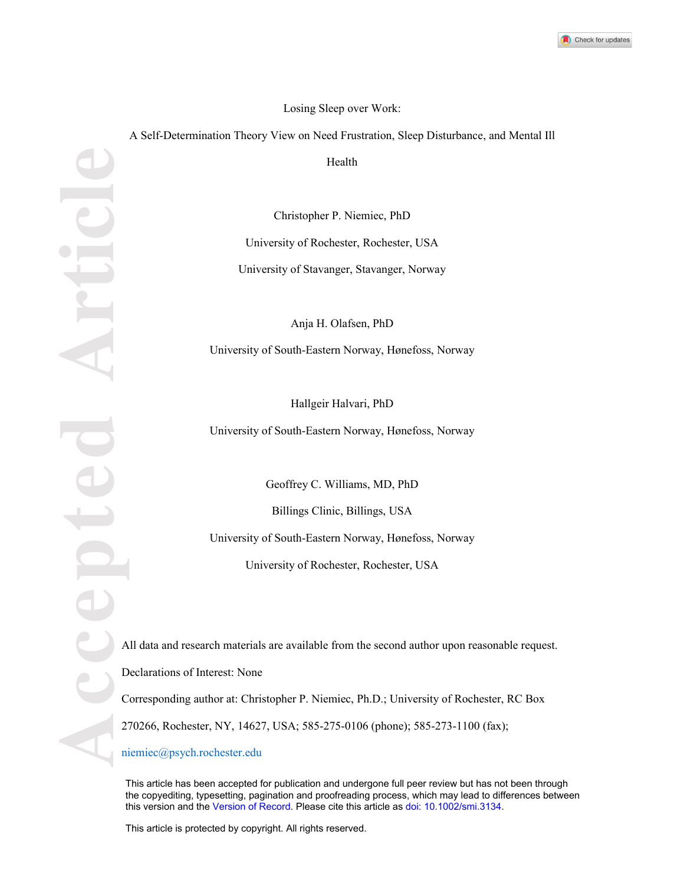

## Losing Sleep over Work:

A Self-Determination Theory View on Need Frustration, Sleep Disturbance, and Mental Ill

Health

Christopher P. Niemiec, PhD University of Rochester, Rochester, USA University of Stavanger, Stavanger, Norway

Anja H. Olafsen, PhD University of South-Eastern Norway, Hønefoss, Norway

Hallgeir Halvari, PhD

University of South-Eastern Norway, Hønefoss, Norway

Geoffrey C. Williams, MD, PhD

Billings Clinic, Billings, USA

University of South-Eastern Norway, Hønefoss, Norway

University of Rochester, Rochester, USA

All data and research materials are available from the second author upon reasonable request.

Declarations of Interest: None

Corresponding author at: Christopher P. Niemiec, Ph.D.; University of Rochester, RC Box

This article has been accepted for publication and undergone full peer review but has not been through the copyediting, typesetting, pagination and proofreading process, which may lead to differences between this version and the Version of Record. Please cite this article as doi: 10.1002/smi.3134.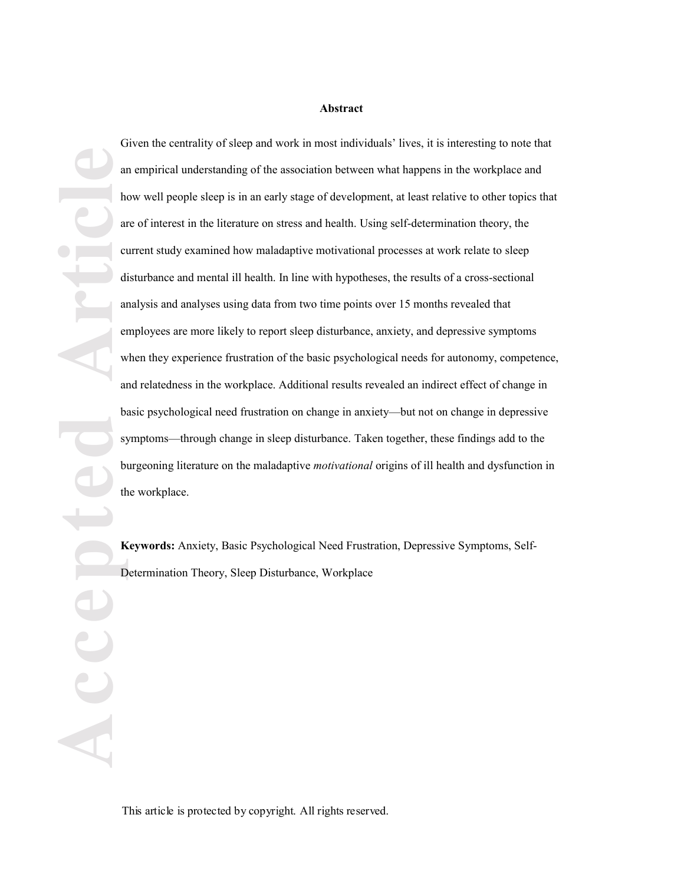#### **Abstract**

**Accepted Article** Given the centrality of sleep and work in most individuals' lives, it is interesting to note that an empirical understanding of the association between what happens in the workplace and how well people sleep is in an early stage of development, at least relative to other topics that are of interest in the literature on stress and health. Using self-determination theory, the current study examined how maladaptive motivational processes at work relate to sleep disturbance and mental ill health. In line with hypotheses, the results of a cross -sectional analysis and analyses using data from two time points over 15 months revealed that employees are more likely to report sleep disturbance, anxiety, and depressive symptoms when they experience frustration of the basic psychological needs for autonomy, competence, and relatedness in the workplace. Additional results revealed an indirect effect of change in basic psychological need frustration on change in anxiety—but not on change in depressive symptoms—through change in sleep disturbance. Taken together, these findings add to the burgeoning literature on the maladaptive *motivational* origins of ill health and dysfunction in the workplace.

**Keywords:** Anxiety, Basic Psychological Need Frustration, Depressive Symptoms, Self-Determination Theory, Sleep Disturbance, Workplace

This article is protected by copyright. All rights reserved.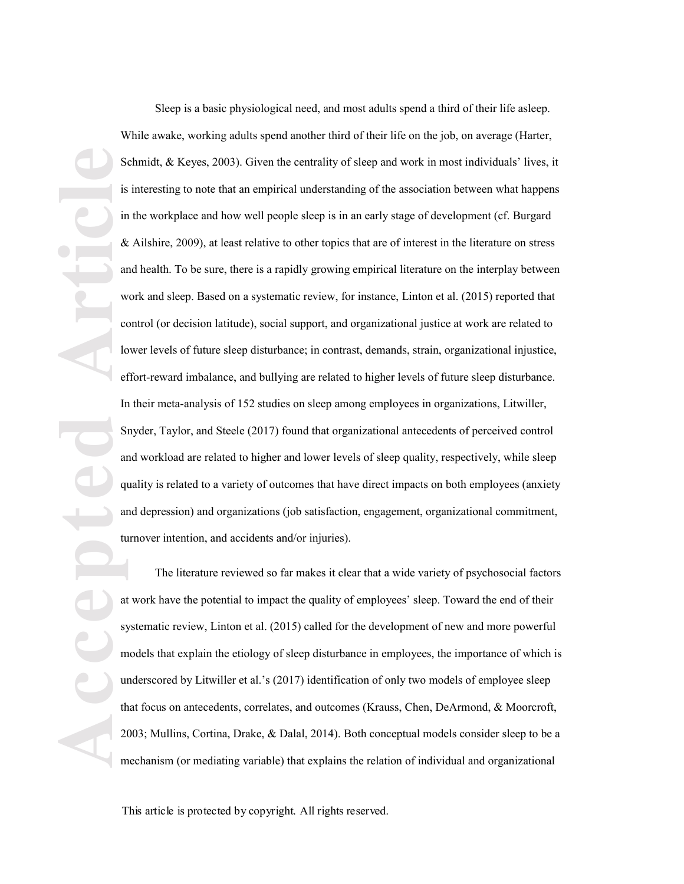**Article**<br> **Article**<br> **Article**<br> **Article**<br> **Article**<br> **Article**<br> **Article**<br> **Article**<br> **Article**<br> **Article**<br> **Article**<br> **Article**<br> **Article**<br> **Article**<br> **Article**<br> **Article** Sleep is a basic physiological need, and most adults spend a third of their life asleep. While awake, working adults spend another third of their life on the job, on average (Harter, Schmidt, & Keyes, 2003). Given the centrality of sleep and work in most individuals' lives, it is interesting to note that an empirical understanding of the association between what happens in the workplace and how well people sleep is in an early stage of development (cf. Burgard & Ailshire, 2009) , at least relative to other topics that are of interest in the literature on stress and health. To be sure, there is a rapidly growing empirical literature on the interplay between work and sleep. Based on a systematic review, for instance, Linton et al. (2015) reported that control (or decision latitude), social support, and organizational justice at work are related to lower levels of future sleep disturbance; in contrast, demands, strain, organizational injustice, effort -reward imbalance, and bullying are related to higher levels of future sleep disturbance. In their meta -analysis of 152 studies on sleep among employees in organizations, Litwiller, Snyder, Taylor, and Steele (2017) found that organizational antecedents of perceived control and workload are related to higher and lower levels of sleep quality, respectively, while sleep quality is related to a variety of outcomes that have direct impacts on both employees (anxiety and depression) and organizations (job satisfaction, engagement, organizational commitment, turnover intention, and accidents and/or injuries).

The literature reviewed so far makes it clear that a wide variety of psychosocial factors at work have the potential to impact the quality of employees' sleep. Toward the end of their systematic review, Linton et al. (2015) called for the development of new and more powerful models that explain the etiology of sleep disturbance in employees, the importance of which is underscored by Litwiller et al.'s (2017) identification of only two models of employee sleep that focus on antecedents, correlates, and outcomes (Krauss, Chen, DeArmond, & Moorcroft, 2003; Mullins, Cortina, Drake, & Dalal, 2014). Both conceptual models consider sleep to be a mechanism (or mediating variable) that explains the relation of individual and organizational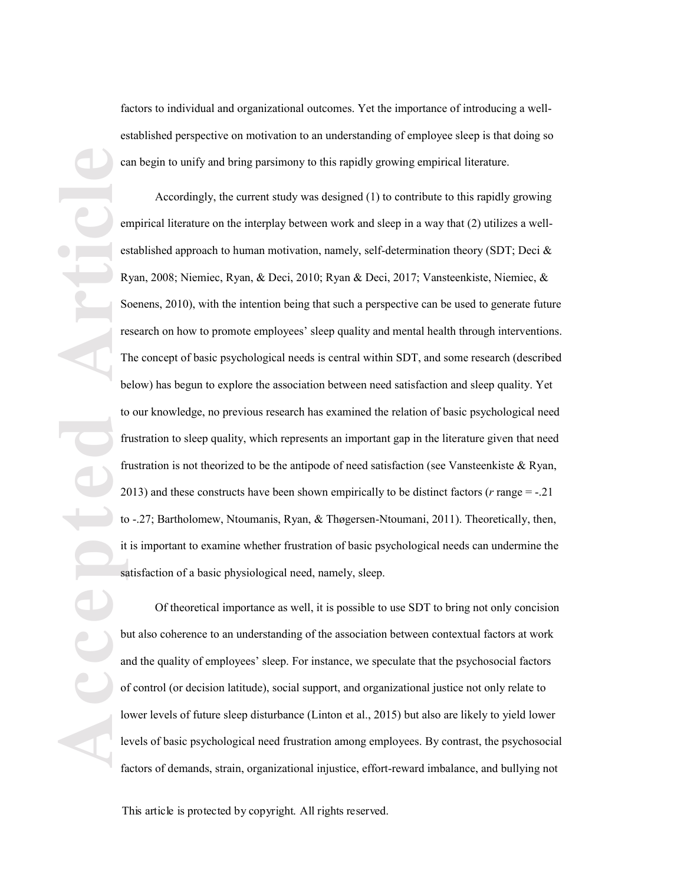factors to individual and organizational outcomes. Yet the importance of introducing a wellestablished perspective on motivation to an understanding of employee sleep is that doing so can begin to unify and bring parsimony to this rapidly growing empirical literature.

**Accepted Article**<br> **Article**<br> **Article**<br> **Article**<br> **Article**<br> **Article**<br> **Article**<br> **Article**<br> **Article** Accordingly, the current study was designed (1) to contribute to this rapidly growing empirical literature on the interplay between work and sleep in a way that (2) utilizes a well established approach to human motivation, namely, self-determination theory (SDT; Deci & Ryan, 2008; Niemiec, Ryan, & Deci, 2010; Ryan & Deci, 2017; Vansteenkiste, Niemiec, & Soenens, 2010), with the intention being that such a perspective can be used to generate future research on how to promote employees' sleep quality and mental health through interventions. The concept of basic psychological needs is central within SDT, and some research (described below) has begun to explore the association between need satisfaction and sleep quality. Yet to our knowledge, no previous research has examined the relation of basic psychological need frustration to sleep quality, which represents an important gap in the literature given that need frustration is not theorized to be the antipode of need satisfaction (see Vansteenkiste  $\&$  Ryan, 2013) and these constructs have been shown empirically to be distinct factors ( $r$  range  $=$  -.21 to -.27; Bartholomew, Ntoumanis, Ryan, & Thøgersen-Ntoumani, 2011). Theoretically, then, it is important to examine whether frustration of basic psychological needs can undermine the satisfaction of a basic physiological need, namely, sleep.

Of theoretical importance as well, it is possible to use SDT to bring not only concision but also coherence to an understanding of the association between contextual factors at work and the quality of employees' sleep. For instance, we speculate that the psychosocial factors of control (or decision latitude), social support, and organizational justice not only relate to lower levels of future sleep disturbance (Linton et al., 2015) but also are likely to yield lower levels of basic psychological need frustration among employees. By contrast, the psychosocial factors of demands, strain, organizational injustice, effort -reward imbalance, and bullying not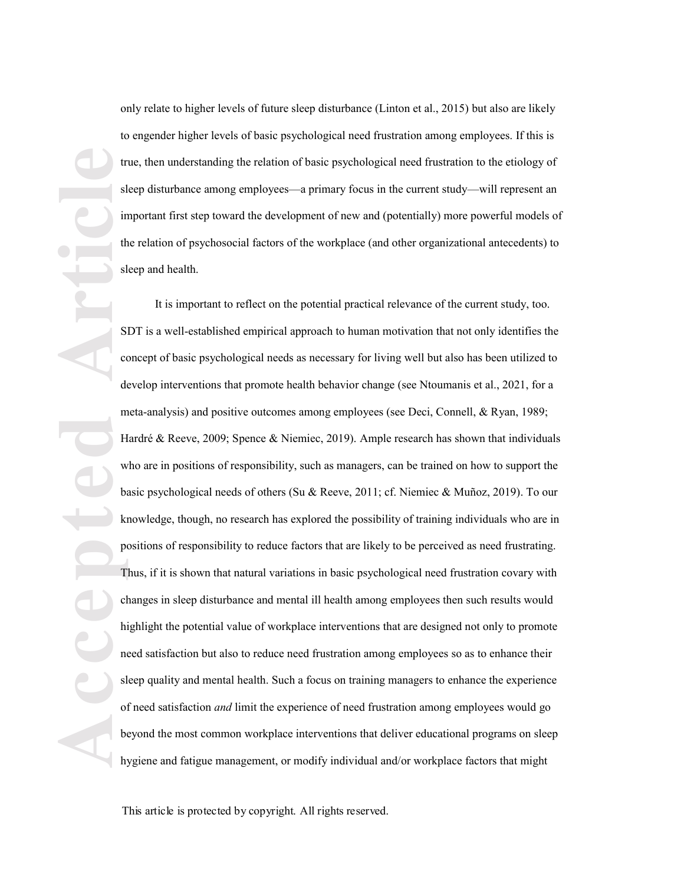only relate to higher levels of future sleep disturbance (Linton et al., 2015) but also are likely to engender higher levels of basic psychological need frustration among employees. If this is true, then understanding the relation of basic psychological need frustration to the etiology of sleep disturbance among employees—a primary focus in the current study—will represent an important first step toward the development of new and (potentially) more powerful models of the relation of psychosocial factors of the workplace (and other organizational antecedents) to sleep and health.

**Accepted Article** It is important to reflect on the potential practical relevance of the current study, too. SDT is a well -established empirical approach to human motivation that not only identifies the concept of basic psychological needs as necessary for living well but also has been utilized to develop interventions that promote health behavior change (see Ntoumanis et al., 202 1, for a meta -analysis) and positive outcomes among employees (see Deci, Connell, & Ryan, 1989; Hardré & Reeve, 2009; Spence & Niemiec, 2019). Ample research has shown that individuals who are in positions of responsibility, such as managers, can be trained on how to support the basic psychological needs of others (Su & Reeve, 2011; cf. Niemiec & Muñoz, 2019). To our knowledge, though, no research has explored the possibility of training individuals who are in positions of responsibility to reduce factors that are likely to be perceived as need frustrating. Thus, if it is shown that natural variations in basic psychological need frustration covary with changes in sleep disturbance and mental ill health among employees then such results would highlight the potential value of workplace interventions that are designed not only to promote need satisfaction but also to reduce need frustration among employees so as to enhance their sleep quality and mental health . Such a focus on training managers to enhance the experience of need satisfaction *and* limit the experience of need frustration among employees would go beyond the most common workplace interventions that deliver educational programs on sleep hygiene and fatigue management, or modify individual and/or workplace factors that might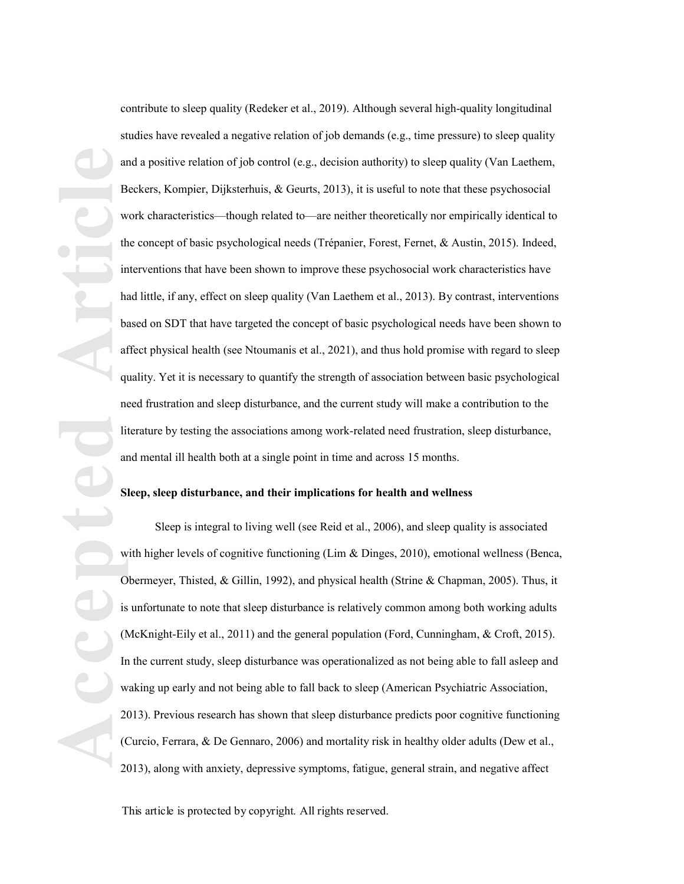**Accepted Article** contribute to sleep quality (Redeker et al., 2019). Although several high -quality longitudinal studies have revealed a negative relation of job demands (e.g., time pressure) to sleep quality and a positive relation of job control (e.g., decision authority) to sleep quality (Van Laethem, Beckers, Kompier, Dijksterhuis, & Geurts, 2013), it is useful to note that these psychosocial work characteristics—though related to—are neither theoretically nor empirically identical to the concept of basic psychological needs (Trépanier, Forest, Fernet, & Austin, 2015). Indeed, interventions that have been shown to improve these psychosocial work characteristics have had little, if any, effect on sleep quality (Van Laethem et al., 2013). By contrast, interventions based on SDT that have targeted the concept of basic psychological needs have been shown to affect physical health (see Ntoumanis et al., 2021) , and thus hold promise with regard to sleep quality. Yet it is necessary to quantify the strength of association between basic psychological need frustration and sleep disturbance, and the current study will make a contribution to the literature by testing the associations among work -related need frustration, sleep disturbance, and mental ill health both at a single point in time and across 15 months.

# **Sleep, sleep disturbance, and their implications for health and wellness**

Sleep is integral to living well (see Reid et al., 2006), and sleep quality is associated with higher levels of cognitive functioning (Lim & Dinges, 2010), emotional wellness (Benca, Obermeyer, Thisted, & Gillin, 1992), and physical health (Strine & Chapman, 2005). Thus, it is unfortunate to note that sleep disturbance is relatively common among both working adults (McKnight -Eily et al., 2011) and the general population (Ford, Cunningham, & Croft, 2015). In the current study, sleep disturbance was operationalized as not being able to fall asleep and waking up early and not being able to fall back to sleep (American Psychiatric Association, 2013). Previous research has shown that sleep disturbance predict s poor cognitive functioning (Curcio, Ferrara, & De Gennaro, 2006) and mortality risk in healthy older adults (Dew et al., 2013), along with anxiety, depressive symptoms, fatigue, general strain, and negative affect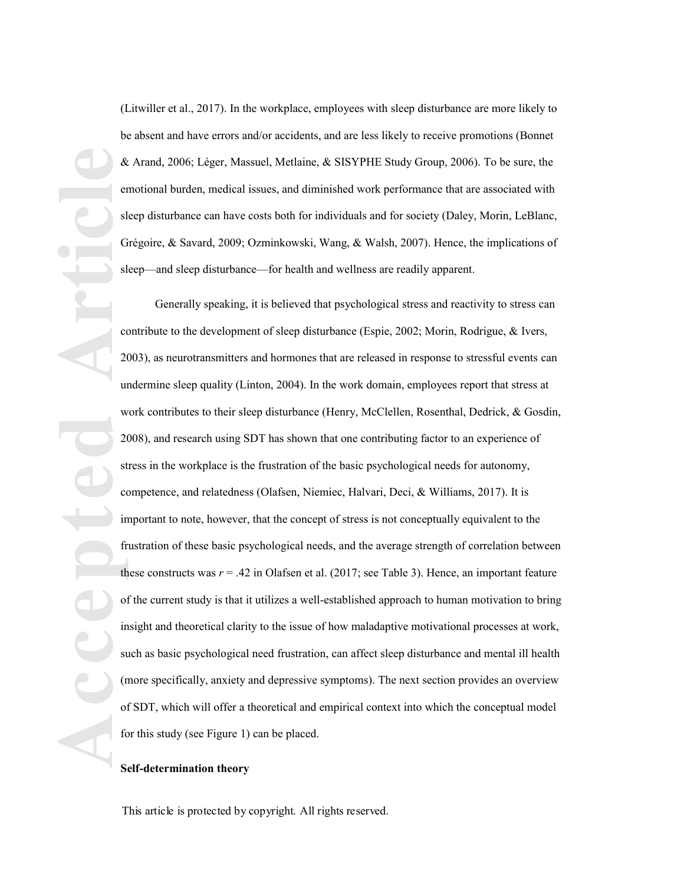(Litwiller et al., 2017) . In the workplace, employees with sleep disturbance are more likely to be absent and have errors and/or accidents, and are less likely to receive promotions (Bonnet & Arand, 2006; Léger, Massuel, Metlaine, & SISYPHE Study Group, 2006). To be sure, the emotional burden, medical issues, and diminished work performance that are associated with sleep disturbance can have costs both for individuals and for society (Daley, Morin, LeBlanc, Grégoire, & Savard, 2009; Ozminkowski, Wang, & Walsh, 2007) . Hence, the implications of sleep—and sleep disturbance—for health and wellness are readily apparent.

**Accepted Article** Generally speaking, it is believed that psychological stress and reactivity to stress can contribute to the development of sleep disturbance (Espie, 2002; Morin, Rodrigue, & Ivers, 2003), as neurotransmitters and hormones that are released in response to stressful events can undermine sleep quality (Linton, 2004). In the work domain, employees report that stress at work contributes to their sleep disturbance (Henry, McClellen, Rosenthal, Dedrick, & Gosdin, 2008), and research using SDT has shown that one contributing factor to an experience of stress in the workplace is the frustration of the basic psychological needs for autonomy, competence, and relatedness (Olafsen, Niemiec, Halvari, Deci, & Williams, 2017). It is important to note, however, that the concept of stress is not conceptually equivalent to the frustration of these basic psychological needs, and the average strength of correlation between these constructs was  $r = .42$  in Olafsen et al.  $(2017)$ ; see Table 3). Hence, an important feature of the current study is that it utilizes a well -established approach to human motivation to bring insight and theoretical clarity to the issue of how maladaptive motivational processes at work, such as basic psychological need frustration , can affect sleep disturbance and mental ill health (more specifically, anxiety and depressive symptoms). The next section provides an overview of SDT, which will offer a theoretical and empirical context into which the conceptual model for this study (see Figure 1) can be placed.

## **Self-determination theory**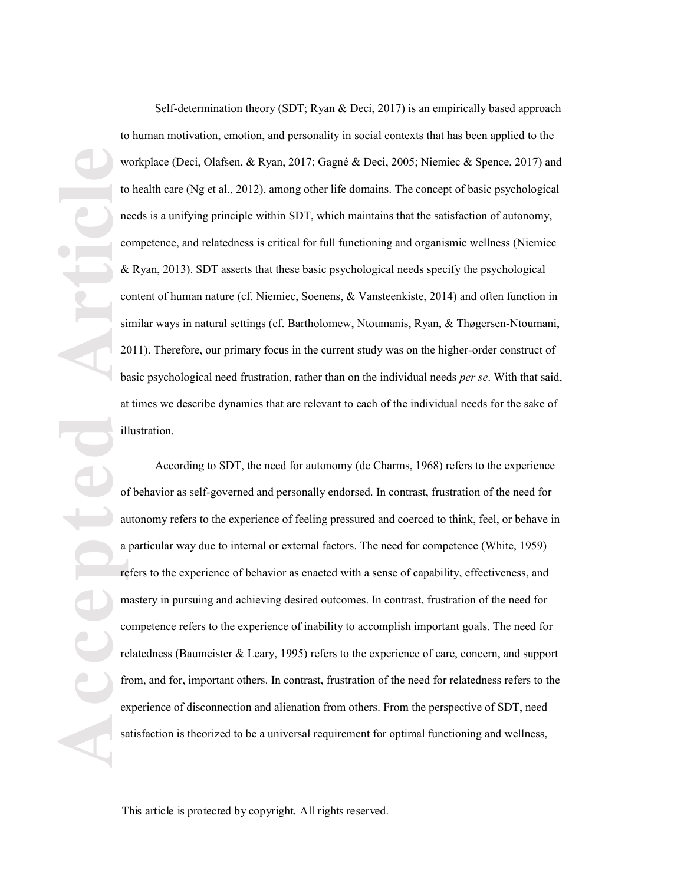Self-determination theory (SDT; Ryan & Deci, 2017) is an empirically based approach to human motivation, emotion, and personality in social contexts that has been applied to the workplace (Deci, Olafsen, & Ryan, 2017; Gagné & Deci, 2005; Niemiec & Spence, 2017) and to health care (Ng et al., 2012), among other life domains. The concept of basic psychological needs is a unifying principle within SDT, which maintains that the satisfaction of autonomy, competence, and relatedness is critical for full functioning and organismic wellness (Niemiec & Ryan, 2013). SDT asserts that these basic psychological needs specify the psychological content of human nature (cf. Niemiec, Soenens, & Vansteenkiste, 2014) and often function in similar ways in natural settings (cf. Bartholomew, Ntoumanis, Ryan, & Thøgersen-Ntoumani, 2011). Therefore, our primary focus in the current study was on the higher -order construct of basic psychological need frustration, rather than on the individual needs *per se*. With that said, at times we describe dynamics that are relevant to each of the individual needs for the sake of illustration.

**Accepted Article** According to SDT, the need for autonomy (de Charms, 1968) refers to the experience of behavior as self-governed and personally endorsed. In contrast, frustration of the need for autonomy refers to the experience of feeling pressured and coerced to think, feel, or behave in a particular way due to internal or external factors. The need for competence (White, 1959) refers to the experience of behavior as enacted with a sense of capability, effectiveness, and mastery in pursuing and achieving desired outcomes. In contrast, frustration of the need for competence refers to the experience of inability to accomplish important goals. The need for relatedness (Baumeister & Leary, 1995) refers to the experience of care, concern, and support from, and for, important others. In contrast, frustration of the need for relatedness refers to the experience of disconnection and alienation from others. From the perspective of SDT, need satisfaction is theorized to be a universal requirement for optimal functioning and wellness,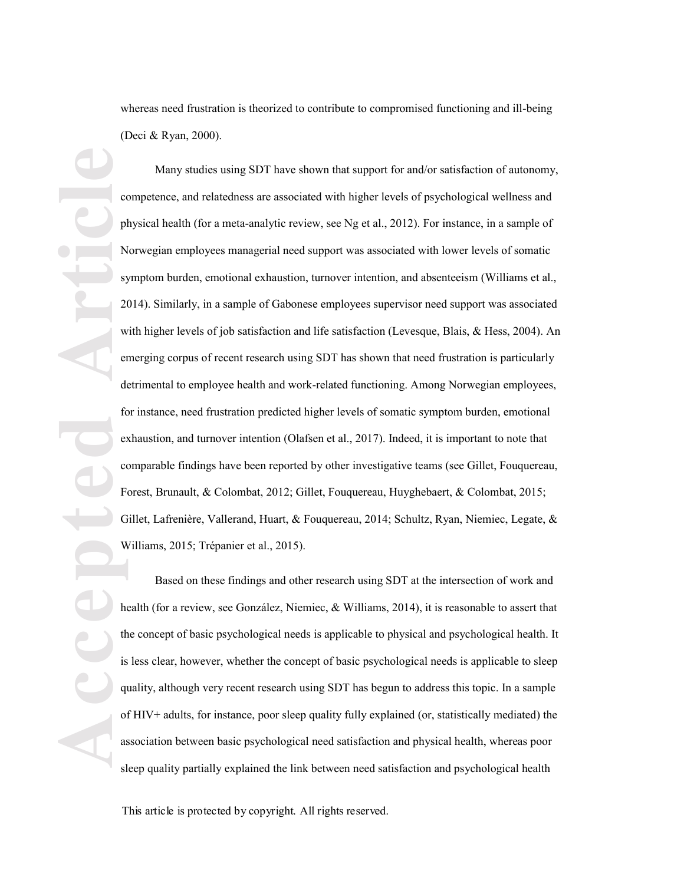whereas need frustration is theorized to contribute to compromised functioning and ill-being (Deci & Ryan, 2000).

**Accepted Article**<br> **Article**<br> **Article**<br> **Article**<br> **Article**<br> **Article**<br> **Article**<br> **Article**<br> **Article**<br> **Article** Many studies using SDT have shown that support for and/or satisfaction of autonomy, competence, and relatedness are associated with higher levels of psychological wellness and physical health (for a meta -analytic review, see Ng et al., 2012). For instance, in a sample of Norwegian employees managerial need support was associated with lower levels of somatic symptom burden, emotional exhaustion, turnover intention, and absenteeism (Williams et al., 2014). Similarly, in a sample of Gabonese employees supervisor need support was associated with higher levels of job satisfaction and life satisfaction (Levesque, Blais, & Hess, 2004). An emerging corpus of recent research using SDT has shown that need frustration is particularly detrimental to employee health and work-related functioning. Among Norwegian employees, for instance, need frustration predicted higher levels of somatic symptom burden, emotional exhaustion, and turnover intention (Olafsen et al., 2017). Indeed, it is important to note that comparable findings have been reported by other investigative teams (see Gillet, Fouquereau, Forest, Brunault, & Colombat, 2012; Gillet, Fouquereau, Huyghebaert, & Colombat, 2015; Gillet, Lafrenière, Vallerand, Huart, & Fouquereau, 2014; Schultz, Ryan, Niemiec, Legate, & Williams, 2015; Trépanier et al., 2015) .

Based on these findings and other research using SDT at the intersection of work and health (for a review, see González, Niemiec, & Williams, 2014), it is reasonable to assert that the concept of basic psychological needs is applicable to physical and psychological health. It is less clear, however, whether the concept of basic psychological needs is applicable to sleep quality, although very recent research using SDT has begun to address this topic. In a sample of HIV+ adults, for instance, poor sleep quality fully explained (or, statistically mediated ) the association between basic psychological need satisfaction and physical health, whereas poor sleep quality partially explained the link between need satisfaction and psychological health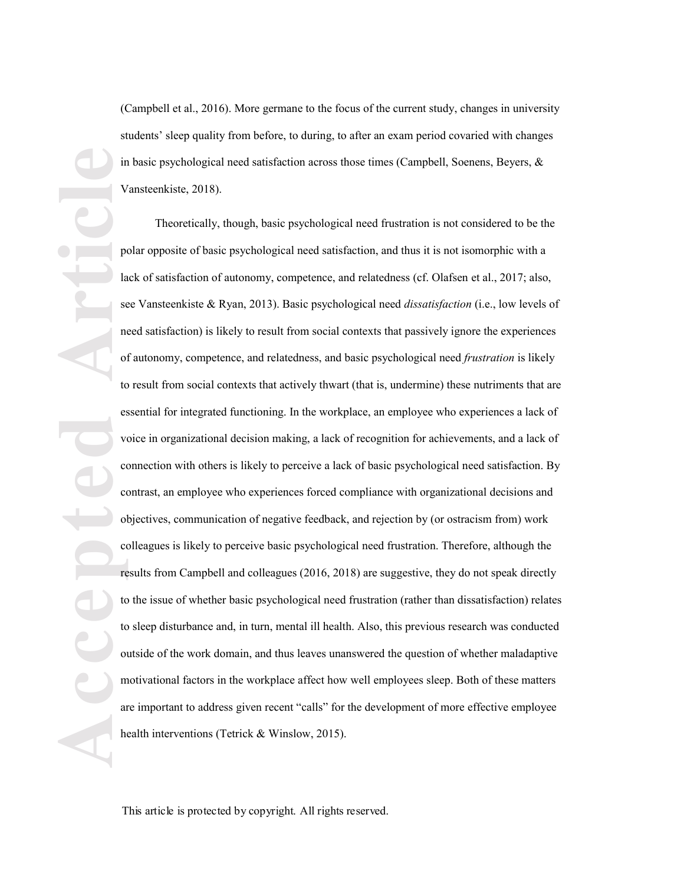(Campbell et al., 2016). More germane to the focus of the current study, changes in university students' sleep quality from before, to during, to after an exam period covaried with changes in basic psychological need satisfaction across those times (Campbell, Soenens, Beyers,  $\&$ Vansteenkiste, 2018) .

**Accepted Article** Theoretically, though, basic psychological need frustration is not considered to be the polar opposite of basic psychological need satisfaction, and thus it is not isomorphic with a lack of satisfaction of autonomy, competence, and relatedness (cf. Olafsen et al., 2017; also, see Vansteenkiste & Ryan, 2013). Basic psychological need *dissatisfaction* (i.e., low levels of need satisfaction) is likely to result from social contexts that passively ignore the experiences of autonomy, competence, and relatedness, and basic psychological need *frustration* is likely to result from social contexts that actively thwart (that is, undermine) these nutriments that are essential for integrated functioning. In the workplace, an employee who experiences a lack of voice in organizational decision making, a lack of recognition for achievements, and a lack of connection with others is likely to perceive a lack of basic psychological need satisfaction. By contrast, an employee who experiences forced compliance with organizational decisions and objectives, communication of negative feedback, and rejection by (or ostracism from) work colleagues is likely to perceive basic psychological need frustration. Therefore, although the results from Campbell and colleagues (2016, 2018) are suggestive, they do not speak directly to the issue of whether basic psychological need frustration (rather than dissatisfaction) relate s to sleep disturbance and, in turn, mental ill health. Also, this previous research was conducted outside of the work domain, and thus leave s unanswered the question of whether maladaptive motivational factors in the workplace affect how well employees sleep. Both of these matters are important to address given recent "calls" for the development of more effective employee health interventions (Tetrick & Winslow, 2015).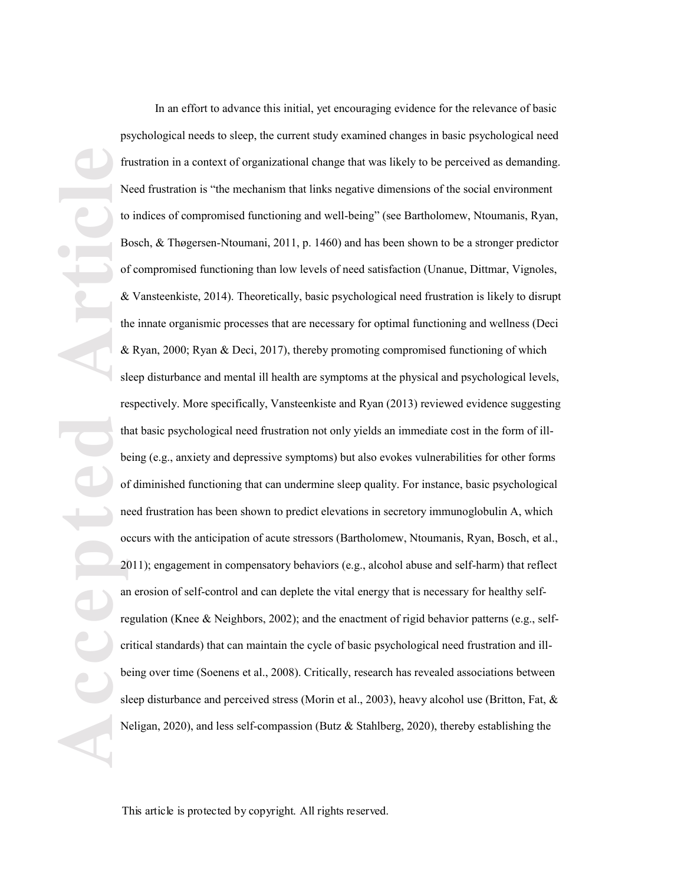**Accepted Article** In an effort to advance this initial , yet encouraging evidence for the relevance of basic psychological needs to sleep, the current study examined changes in basic psychological need frustration in a context of organizational change that was likely to be perceived as demanding. Need frustration is "the mechanism that links negative dimensions of the social environment to indices of compromised functioning and well-being" (see Bartholomew, Ntoumanis, Ryan, Bosch, & Thøgersen -Ntoumani, 2011, p. 1460 ) and has been shown to be a stronger predictor of compromised functioning than low levels of need satisfaction (Unanue, Dittmar, Vignoles, & Vansteenkiste, 2014). Theoretically, basic psychological need frustration is likely to disrupt the innate organismic processes that are necessary for optimal functioning and wellness (Deci & Ryan, 2000; Ryan & Deci, 2017), thereby promoting compromised functioning of which sleep disturbance and mental ill health are symptoms at the physical and psychological levels, respectively. More specifically, Vansteenkiste and Ryan (2013) reviewed evidence suggesting that basic psychological need frustration not only yields an immediate cost in the form of ill being (e.g., anxiety and depressive symptoms) but also evokes vulnerabilities for other forms of diminished functioning that can undermine sleep quality. For instance, basic psychological need frustration has been shown to predict elevations in secretory immunoglobulin A, which occurs with the anticipation of acute stressors (Bartholomew, Ntoumanis, Ryan, Bosch, et al., 2011); engagement in compensatory behaviors (e.g., alcohol abuse and self-harm) that reflect an erosion of self-control and can deplete the vital energy that is necessary for healthy selfregulation (Knee & Neighbors, 2002); and the enactment of rigid behavior patterns (e.g., selfcritical standards) that can maintain the cycle of basic psychological need frustration and illbeing over time (Soenens et al., 2008). Critically, research has revealed associations between sleep disturbance and perceived stress (Morin et al., 2003), heavy alcohol use (Britton, Fat, & Neligan, 2020), and less self-compassion (Butz & Stahlberg, 2020), thereby establishing the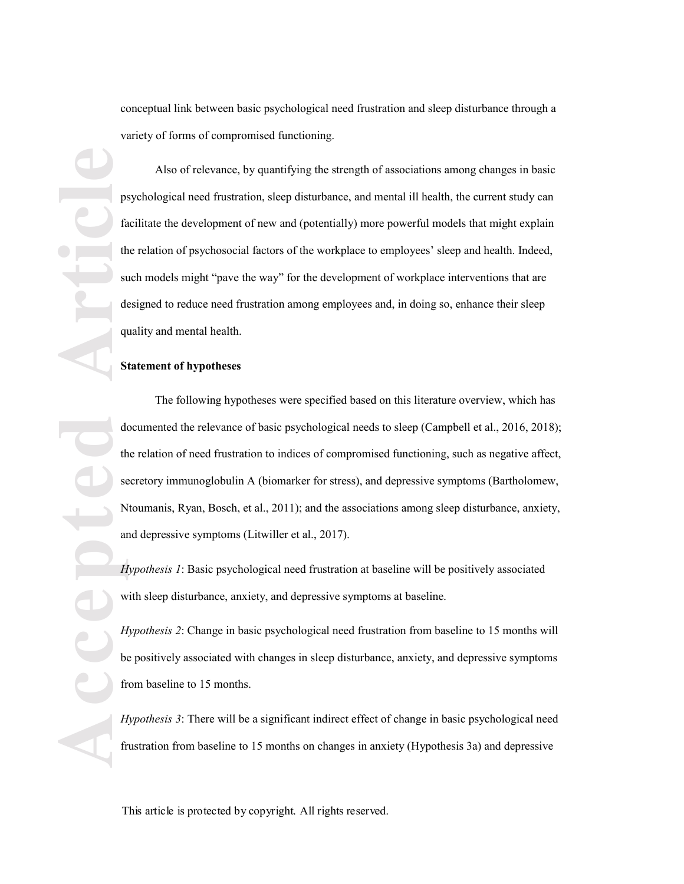conceptual link between basic psychological need frustration and sleep disturbance through a variety of forms of compromise d functioning.

**ACCEPTED ARTICLE** Also of relevance, by quantifying the strength of associations among changes in basic psychological need frustration, sleep disturbance, and mental ill health, the current study can facilitate the development of new and (potentially) more powerful models that might explain the relation of psychosocial factors of the workplace to employees' sleep and health. Indeed, such models might "pave the way" for the development of workplace interventions that are designed to reduce need frustration among employees and, in doing so, enhance their sleep quality and mental health.

# **Statement of hypotheses**

The following hypotheses were specified based on this literature overview, which has documented the relevance of basic psychological needs to sleep (Campbell et al., 2016, 2018); the relation of need frustration to indices of compromised functioning, such as negative affect, secretory immunoglobulin A (biomarker for stress), and depressive symptoms (Bartholomew, Ntoumanis, Ryan, Bosch, et al., 2011); and the associations among sleep disturbance, anxiety, and depressive symptoms (Litwiller et al., 2017).

*Hypothesis 1*: Basic psychological need frustration at baseline will be positively associated with sleep disturbance, anxiety, and depressive symptoms at baseline.

*Hypothesis 2*: Change in basic psychological need frustration from baseline to 15 months will be positively associated with changes in sleep disturbance, anxiety, and depressive symptoms from baseline to 15 months.

*Hypothesis 3*: There will be a significant indirect effect of change in basic psychological need frustration from baseline to 15 months on changes in anxiety (Hypothesis 3a) and depressive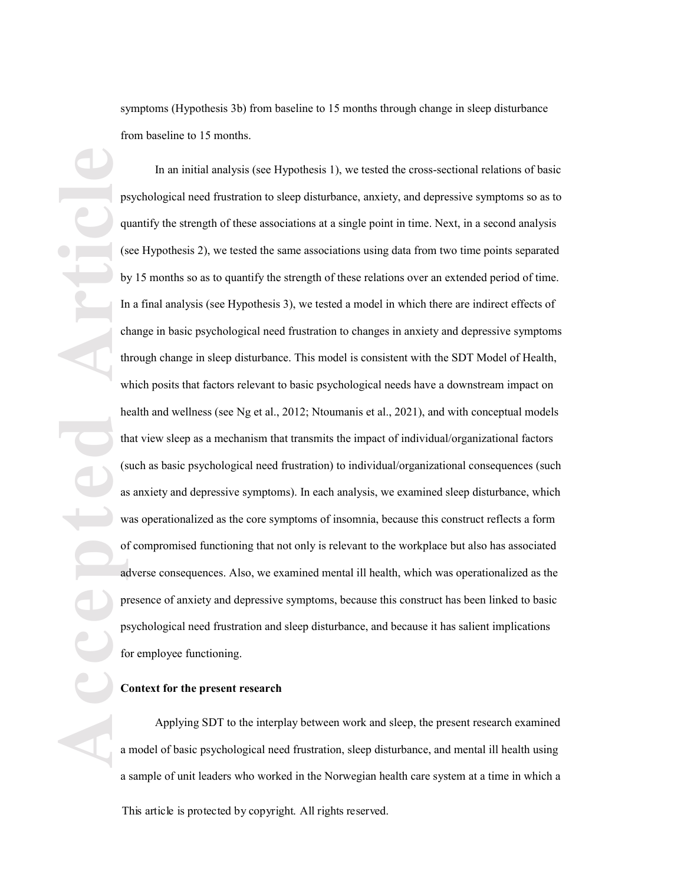symptoms (Hypothesis 3b) from baseline to 15 months through change in sleep disturbance from baseline to 15 months.

**Accepted Article** In an initial analysis (see Hypothesis 1), we tested the cross -sectional relations of basic psychological need frustration to sleep disturbance, anxiety, and depressive symptoms so as to quantify the strength of these associations at a single point in time. Next, in a second analysis (see Hypothesis 2), we tested the same associations using data from two time points separated by 15 months so as to quantify the strength of these relations over an extended period of time. In a final analysis (see Hypothesis 3), we tested a model in which there are indirect effects of change in basic psychological need frustration to changes in anxiety and depressive symptoms through change in sleep disturbance. This model is consistent with the SDT Model of Health, which posits that factors relevant to basic psychological needs have a downstream impact on health and wellness (see Ng et al., 2012; Ntoumanis et al., 2021), and with conceptual models that view sleep as a mechanism that transmits the impact of individual/organizational factors (such as basic psychological need frustration) to individual/organizational consequences (such as anxiety and depressive symptoms). In each analysis, we examined sleep disturbance, which was operationalized as the core symptoms of insomnia, because this construct reflects a form of compromised functioning that not only is relevant to the workplace but also has associated adverse consequences. Also, we examined mental ill health, which was operationalized as the presence of anxiety and depressive symptoms, because this construct has been linked to basic psychological need frustration and sleep disturbance, and because it has salient implications for employee functioning.

# **Context for the present research**

This article is protected by copyright. All rights reserved. Applying SDT to the interplay between work and sleep, the present research examined a model of basic psychological need frustration, sleep disturbance, and mental ill health using a sample of unit leaders who worked in the Norwegian health care system at a time in which a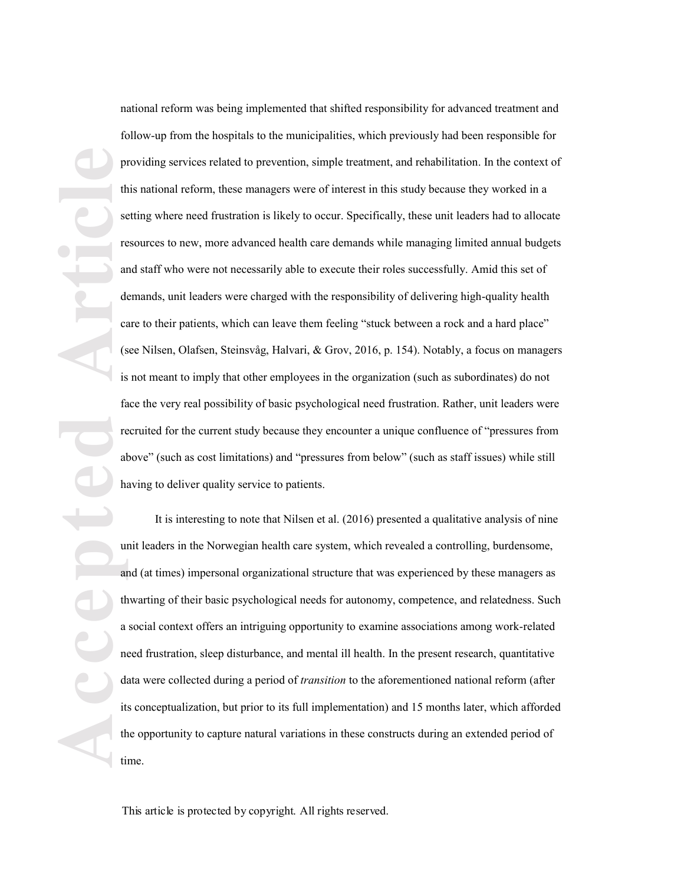**Accepted Article** national reform was being implemented that shifted responsibility for advanced treatment and follow -up from the hospitals to the municipalities, which previously had been responsible for providing services related to prevention, simple treatment, and rehabilitation . In the context of this national reform, these managers were of interest in this study because they worked in a setting where need frustration is likely to occur. Specifically, these unit leaders had to allocate resources to new, more advanced health care demands while managing limited annual budgets and staff who were not necessarily able to execute their roles successfully. Amid this set of demands, unit leaders were charged with the responsibility of delivering high -quality health care to their patients, which can leave them feeling "stuck between a rock and a hard place" (see Nilsen, Olafsen, Steinsvåg, Halvari, & Grov, 2016, p. 154). Notably, a focus on managers is not meant to imply that other employees in the organization (such as subordinates) do not face the very real possibility of basic psychological need frustration. Rather, unit leaders were recruited for the current study because they encounter a unique confluence of "pressures from above" (such as cost limitations) and "pressures from below" (such as staff issues) while still having to deliver quality service to patients.

It is interesting to note that Nilsen et al. (2016) presented a qualitative analysis of nine unit leaders in the Norwegian health care system, which revealed a controlling, burdensome, and (at times) impersonal organizational structure that was experienced by these managers as thwarting of their basic psychological needs for autonomy, competence, and relatedness. Such a social context offers an intriguing opportunity to examine associations among work -related need frustration, sleep disturbance, and mental ill health. In the present research, quantitative data were collected during a period of *transition* to the aforementioned national reform (after its conceptualization, but prior to its full implementation) and 15 months later, which afforded the opportunity to capture natural variations in these constructs during an extended period of time.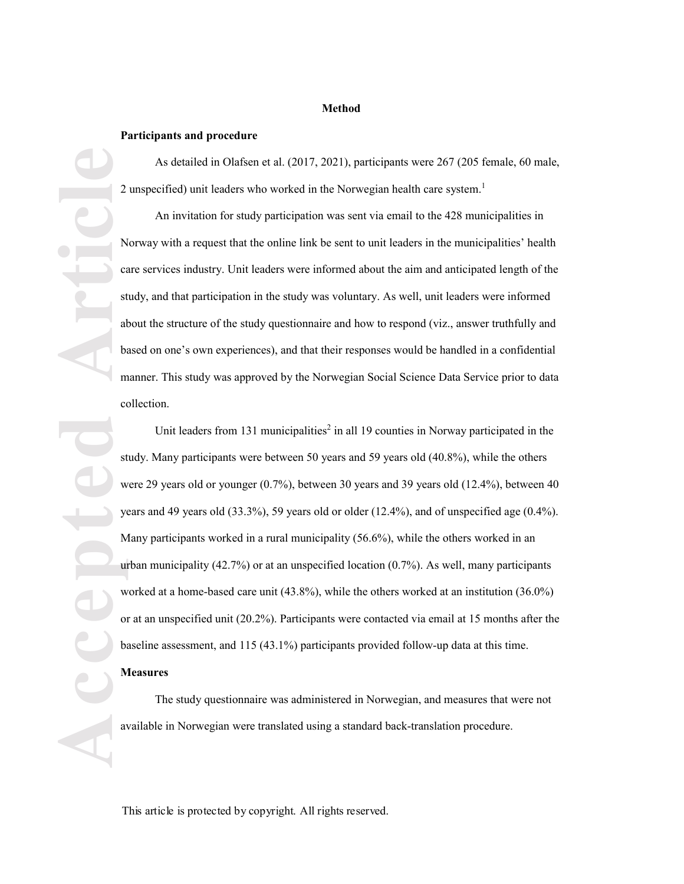### **Method**

### **Participants and procedure**

As detailed in Olafsen et al. (2017, 2021), participants were 267 (205 female, 60 male, 2 unspecified) unit leaders who worked in the Norwegian health care system.<sup>1</sup>

An invitation for study participation was sent via email to the 428 municipalities in Norway with a request that the online link be sent to unit leaders in the municipalities' health care services industry. Unit leaders were informed about the aim and anticipated length of the study, and that participation in the study was voluntary. As well, unit leaders were informed about the structure of the study questionnaire and how to respond (viz., answer truthfully and based on one's own experiences), and that their responses would be handled in a confidential manner. This study was approved by the Norwegian Social Science Data Service prior to data collection .

**Accepted Article** Unit leaders from 131 municipalities<sup>2</sup> in all 19 counties in Norway participated in the study. Many participants were between 50 years and 59 years old (40.8%), while the others were 29 years old or younger (0.7%), between 30 years and 39 years old (12.4%), between 40 years and 49 years old  $(33.3\%)$ , 59 years old or older  $(12.4\%)$ , and of unspecified age  $(0.4\%)$ . Many participants worked in a rural municipality (56.6%), while the others worked in an urban municipality  $(42.7%)$  or at an unspecified location  $(0.7%)$ . As well, many participants worked at a home-based care unit (43.8%), while the others worked at an institution (36.0%) or at an unspecified unit (20.2%). Participants were contacted via email at 15 months after the baseline assessment, and 115 (43.1%) participants provided follow -up data at this time.

### **Measures**

The study questionnaire was administered in Norwegian, and measures that were not available in Norwegian were translated using a standard back -translation procedure.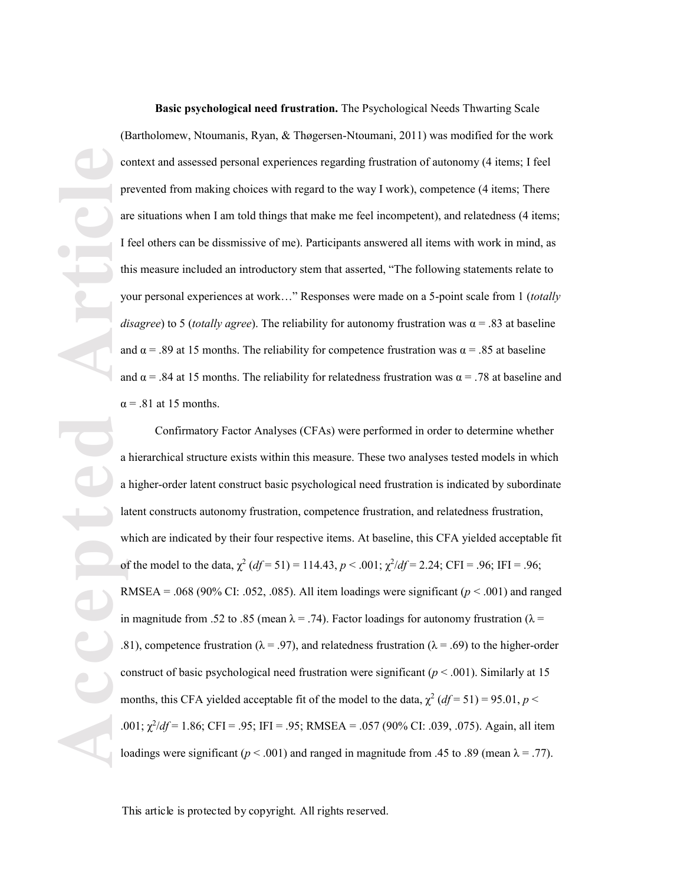**Basic psychological need frustration.** The Psychological Needs Thwarting Scale (Bartholomew, Ntoumanis, Ryan, & Thøgersen -Ntoumani, 2011) was modified for the work context and assessed personal experiences regarding frustration of autonomy (4 items; I feel prevented from making choices with regard to the way I work), competence (4 items; There are situations when I am told things that make me feel incompetent), and relatedness (4 items; I feel others can be dissmissive of me ). Participants answered all items with work in mind, as this measure included an introductory stem that asserted, "The following statements relate to your personal experiences at work..." Responses were made on a 5-point scale from 1 (*totally disagree*) to 5 (*totally agree*). The reliability for autonomy frustration was  $\alpha$  = .83 at baseline and  $\alpha = 0.89$  at 15 months. The reliability for competence frustration was  $\alpha = 0.85$  at baseline and  $\alpha$  = .84 at 15 months. The reliability for relatedness frustration was  $\alpha$  = .78 at baseline and  $\alpha$  = .81 at 15 months.

Confirmatory Factor Analyses (CFAs) were performed in order to determine whether a hierarchical structure exists within this measure. These two analyses tested models in which a higher -order latent construct basic psychological need frustration is indicated by subordinate latent constructs autonomy frustration, competence frustration, and relatedness frustration, which are indicated by their four respective items. At baseline, this CFA yielded acceptable fit of the model to the data,  $\chi^2$  ( $df = 51$ ) = 114.43,  $p < .001$ ;  $\chi^2/df = 2.24$ ; CFI = .96; IFI = .96; RMSEA = .068 (90% CI: .052, .085). All item loadings were significant ( $p < .001$ ) and ranged in magnitude from .52 to .85 (mean  $\lambda = .74$ ). Factor loadings for autonomy frustration ( $\lambda =$ .81), competence frustration ( $\lambda = .97$ ), and relatedness frustration ( $\lambda = .69$ ) to the higher-order construct of basic psychological need frustration were significant ( $p < .001$ ). Similarly at 15 months, this CFA yielded acceptable fit of the model to the data,  $\chi^2 (df = 51) = 95.01$ ,  $p <$ Ȥ<sup>2</sup> /*df* = 1.86; CFI = .95; IFI = .95; RMSEA = .057 (90% CI: .039, .075). Again, all item loadings were significant ( $p < .001$ ) and ranged in magnitude from .45 to .89 (mean  $\lambda = .77$ ).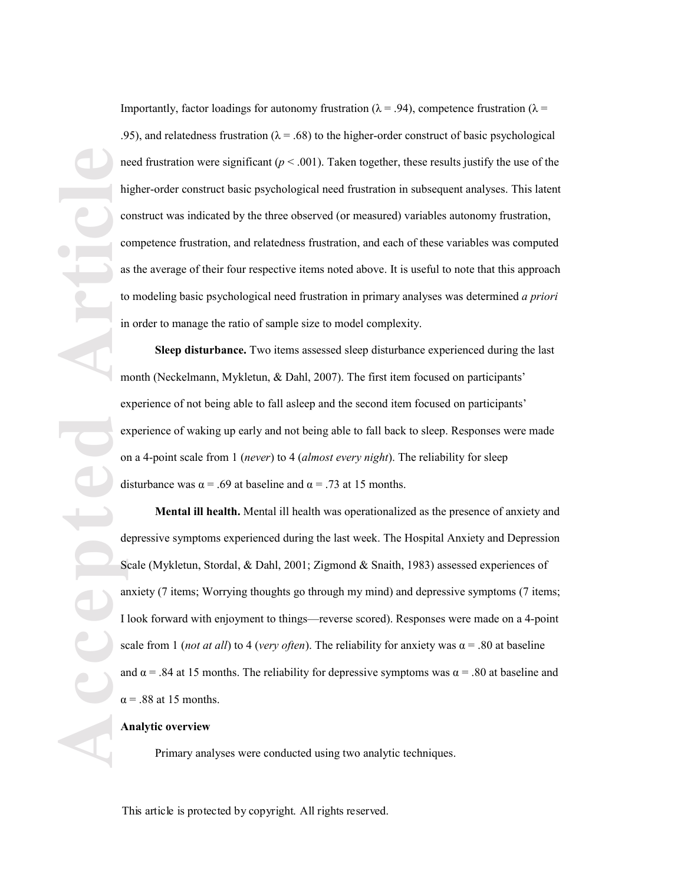**Accepted Article** Importantly, factor loadings for autonomy frustration ( $\lambda = .94$ ), competence frustration ( $\lambda =$ .95), and relatedness frustration ( $\lambda = .68$ ) to the higher-order construct of basic psychological need frustration were significant  $(p < .001)$ . Taken together, these results justify the use of the higher -order construct basic psychological need frustration in subsequent analyses. This latent construct was indicated by the three observed (or measured) variables autonomy frustration, competence frustration, and relatedness frustration, and each of these variables was computed as the average of their four respective items noted above . It is useful to note that this approach to modeling basic psychological need frustration in primary analyses was determined *a priori* in order to manage the ratio of sample size to model complexity.

**Sleep disturbance.** Two items assessed sleep disturbance experienced during the last month (Neckelmann, Mykletun, & Dahl, 2007). The first item focused on participants' experience of not being able to fall asleep and the second item focused on participants' experience of waking up early and not being able to fall back to sleep. Responses were made on a 4 -point scale from 1 ( *never*) to 4 ( *almost every night*). The reliability for sleep disturbance was  $\alpha = .69$  at baseline and  $\alpha = .73$  at 15 months.

**Mental ill health .** Mental ill health was operationalized as the presence of anxiety and depressive symptoms experienced during the last week. The Hospital Anxiety and Depression Scale (Mykletun, Stordal, & Dahl, 2001; Zigmond & Snaith, 1983) assessed experiences of anxiety (7 items; Worrying thoughts go through my mind) and depressive symptoms (7 items; I look forward with enjoyment to things—reverse scored). Responses were made on a 4-point scale from 1 *(not at all)* to 4 *(very often*). The reliability for anxiety was  $\alpha$  = .80 at baseline and  $\alpha$  = .84 at 15 months. The reliability for depressive symptoms was  $\alpha$  = .80 at baseline and  $\alpha$  = .88 at 15 months.

## **Analytic overview**

Primary analyses were conducted using two analytic techniques .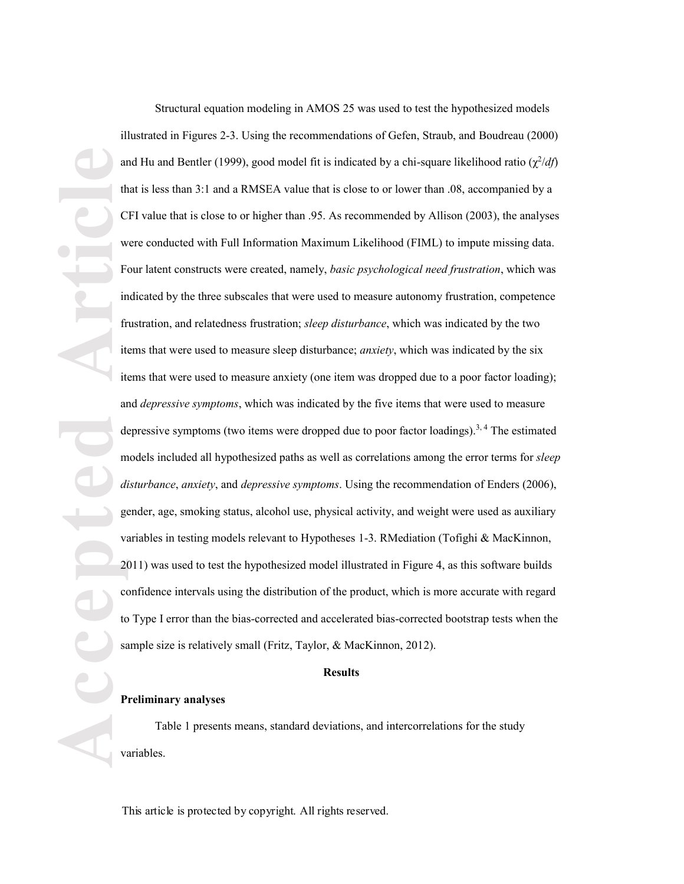**Accepted Article Article Article Article Article Article Article Article Article Article Article Article Article Article Article Article Article Article Article Article Article** Structural equation modeling in AMOS 25 was used to test the hypothesized models illustrated in Figures 2 - 3. Using the recommendations of Gefen, Straub, and Boudreau (2000) and Hu and Bentler (1999), good model fit is indicated by a chi-square likelihood ratio  $(\chi^2/df)$ that is less than 3:1 and a RMSEA value that is close to or lower than .08, accompanied by a CFI value that is close to or higher than .95. As recommended by Allison (2003), the analyses were conducted with Full Information Maximum Likelihood (FIML) to impute missing data. Four latent constructs were created, namely, *basic psychological need frustration*, which was indicated by the three subscales that were used to measure autonomy frustration, competence frustration, and relatedness frustration; *sleep disturbance*, which was indicated by the two items that were used to measure sleep disturbance; *anxiety*, which was indicated by the six items that were used to measure anxiety (one item was dropped due to a poor factor loading); and *depressive symptoms*, which was indicated by the five items that were used to measure depressive symptoms (two items were dropped due to poor factor loadings).<sup>3, 4</sup> The estimated models included all hypothesized paths as well as correlations among the error terms for *sleep disturbance* , *anxiety* , and *depressive symptoms*. Using the recommendation of Enders (2006), gender, age, smoking status, alcohol use, physical activity, and weight were used as auxiliary variables in testing models relevant to Hypotheses 1-3. RMediation (Tofighi & MacKinnon, 2011) was used to test the hypothesized model illustrated in Figure 4, as this software builds confidence intervals using the distribution of the product, which is more accurate with regard to Type I error than the bias -corrected and accelerated bias -corrected bootstrap tests when the sample size is relatively small (Fritz, Taylor, & MacKinnon, 2012).

## **Results**

# **Preliminary analyses**

Table 1 presents means, standard deviations, and intercorrelations for the study variables.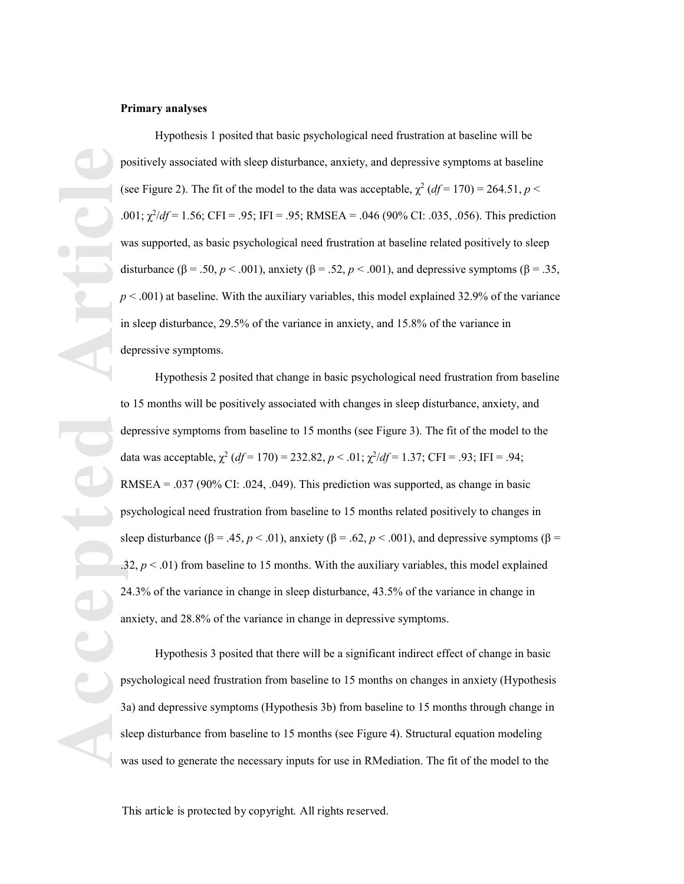### **Primary analyses**

Hypothesis 1 posited that basic psychological need frustration at baseline will be positively associated with sleep disturbance, anxiety, and depressive symptoms at baseline (see Figure 2). The fit of the model to the data was acceptable,  $\chi^2$  (*df* = 170) = 264.51, *p* < .001;  $\chi^2/df = 1.56$ ; CFI = .95; IFI = .95; RMSEA = .046 (90% CI: .035, .056). This prediction was supported, as basic psychological need frustration at baseline related positively to sleep disturbance  $(\beta = .50, p < .001)$ , anxiety  $(\beta = .52, p < .001)$ , and depressive symptoms  $(\beta = .35,$  $p < .001$ ) at baseline. With the auxiliary variables, this model explained 32.9% of the variance in sleep disturbance, 29.5% of the variance in anxiety, and 15.8% of the variance in depressive symptoms .

**Accepted Articles Articles Constructed Articles Constructed Articles Constructed Articles Constructed in the article of the constructed by the construction of the construction of the construction of the construc** Hypothesis 2 posited that change in basic psychological need frustration from baseline to 15 months will be positively associated with changes in sleep disturbance, anxiety, and depressive symptoms from baseline to 15 months (see Figure 3 ). The fit of the model to the data was acceptable,  $\chi^2$  (*df* = 170) = 232.82, *p* < .01;  $\chi^2$ /*df* = 1.37; CFI = .93; IFI = .94; RMSEA =  $.037$  (90% CI: .024, .049). This prediction was supported, as change in basic psychological need frustration from baseline to 15 months related positively to changes in sleep disturbance  $(\beta = .45, p < .01)$ , anxiety  $(\beta = .62, p < .001)$ , and depressive symptoms  $(\beta = .001)$  $.32, p < .01$ ) from baseline to 15 months. With the auxiliary variables, this model explained 24.3% of the variance in change in sleep disturbance, 43.5% of the variance in change in anxiety, and 28.8% of the variance in change in depressive symptoms .

Hypothesis 3 posited that there will be a significant indirect effect of change in basic psychological need frustration from baseline to 15 months on changes in anxiety (Hypothesis 3a) and depressive symptoms (Hypothesis 3b) from baseline to 15 months through change in sleep disturbance from baseline to 15 months (see Figure 4 ). Structural equation modeling was used to generate the necessary inputs for use in RMediation. The fit of the model to the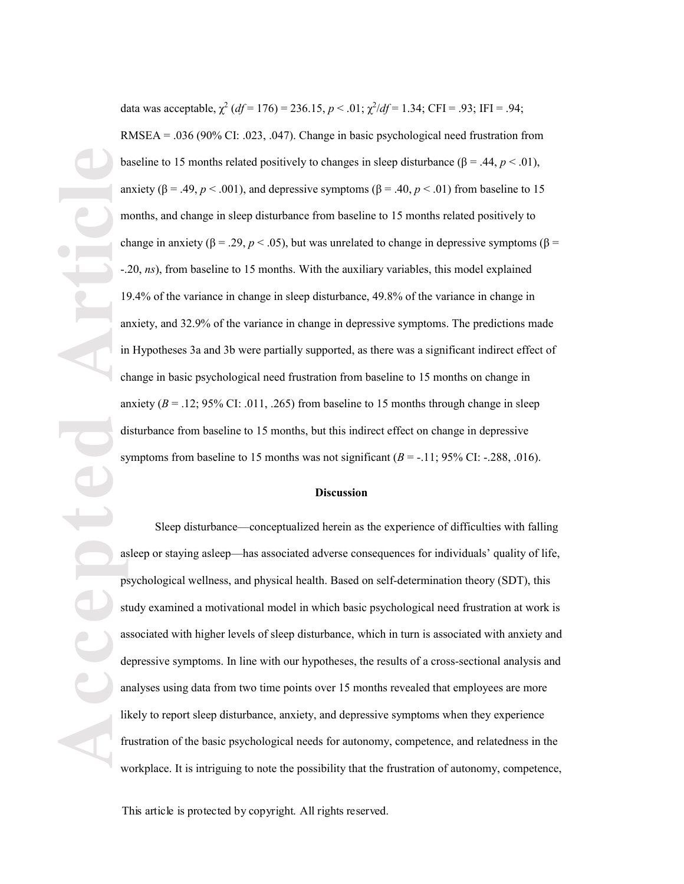**Accepted Article** data was acceptable,  $\chi^2$  (*df* = 176) = 236.15, *p* < .01;  $\chi^2$ /*df* = 1.34; CFI = .93; IFI = .94; RMSEA = .036 (90% CI: .023, .047). Change in basic psychological need frustration from baseline to 15 months related positively to changes in sleep disturbance ( $\beta = .44$ ,  $p < .01$ ), anxiety ( $\beta$  = .49,  $p$  < .001), and depressive symptoms ( $\beta$  = .40,  $p$  < .01) from baseline to 15 months, and change in sleep disturbance from baseline to 15 months related positively to change in anxiety ( $\beta = .29$ ,  $p < .05$ ), but was unrelated to change in depressive symptoms ( $\beta$  = -.20, *ns* ), from baseline to 15 months. With the auxiliary variables, this model explained 19.4% of the variance in change in sleep disturbance, 49.8% of the variance in change in anxiety, and 32.9% of the variance in change in depressive symptoms. The predictions made in Hypothes es 3a and 3b were partially supported, as there was a significant indirect effect of change in basic psychological need frustration from baseline to 15 months on change in anxiety  $(B = .12; 95\% \text{ CI} : .011, .265)$  from baseline to 15 months through change in sleep disturbance from baseline to 15 months, but this indirect effect on change in depressive symptoms from baseline to 15 months was not significant  $(B = -11; 95\% \text{ CI}$ :  $-288, .016$ ).

### **Discussion**

Sleep disturbance—conceptualized herein as the experience of difficulties with falling asleep or staying asleep—has associated adverse consequences for individuals' quality of life, psychological wellness, and physical health. Based on self-determination theory (SDT), this study examined a motivational model in which basic psychological need frustration at work is associated with higher levels of sleep disturbance, which in turn is associated with anxiety and depressive symptoms. In line with our hypotheses, the results of a cross -sectional analysis and analyses using data from two time points over 15 months revealed that employees are more likely to report sleep disturbance, anxiety, and depressive symptoms when they experience frustration of the basic psychological needs for autonomy, competence, and relatedness in the workplace. It is intriguing to note the possibility that the frustration of autonomy, competence,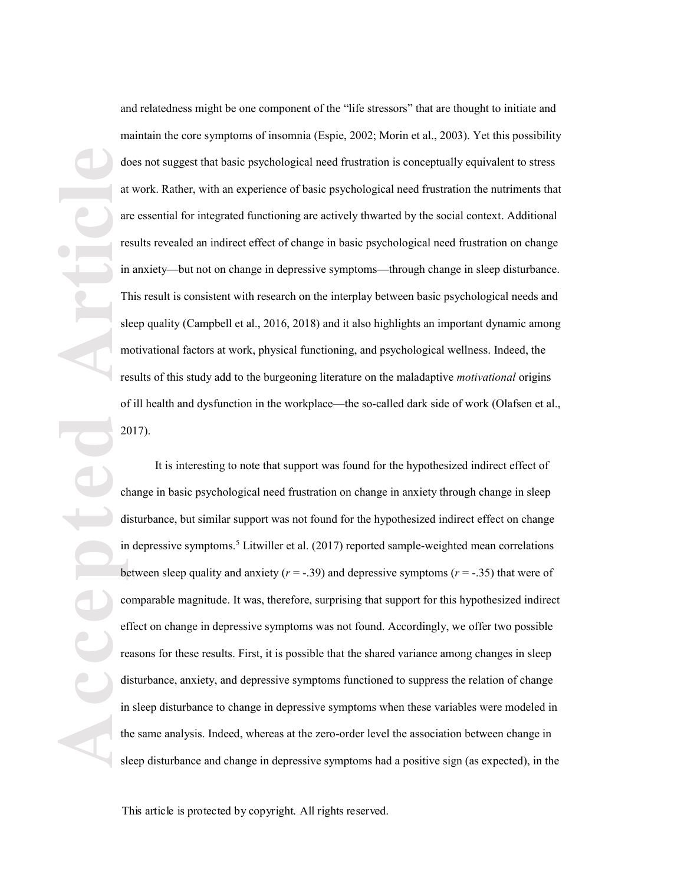and relatedness might be one component of the "life stressors" that are thought to initiate and maintain the core symptoms of insomnia (Espie, 2002; Morin et al., 2003). Yet this possibility does not suggest that basic psychological need frustration is conceptually equivalent to stress at work. Rather, with an experience of basic psychological need frustration the nutriments that are essential for integrated functioning are actively thwarted by the social context. Additional results revealed an indirect effect of change in basic psychological need frustration on change in anxiety—but not on change in depressive symptoms—through change in sleep disturbance. This result is consistent with research on the interplay between basic psychological needs and sleep quality (Campbell et al., 2016, 2018) and it also highlights an important dynamic among motivational factors at work, physical functioning, and psychological wellness. Indeed, the results of this study add to the burgeoning literature on the maladaptive *motivational* origins of ill health and dysfunction in the workplace—the so-called dark side of work (Olafsen et al., 2017).

**Accepted Article** It is interesting to note that support was found for the hypothesized indirect effect of change in basic psychological need frustration on change in anxiety through change in sleep disturbance, but similar support was not found for the hypothesized indirect effect on change in depressive symptoms.<sup>5</sup> Litwiller et al. (2017) reported sample-weighted mean correlations between sleep quality and anxiety  $(r = -.39)$  and depressive symptoms  $(r = -.35)$  that were of comparable magnitude. It was, therefore, surprising that support for this hypothesized indirect effect on change in depressive symptoms was not found. Accordingly, we offer two possible reasons for these results. First, it is possible that the shared variance among changes in sleep disturbance, anxiety, and depressive symptoms functioned to suppress the relation of change in sleep disturbance to change in depressive symptoms when these variables were modeled in the same analysis. Indeed, whereas at the zero -order level the association between change in sleep disturbance and change in depressive symptoms had a positive sign (as expected), in the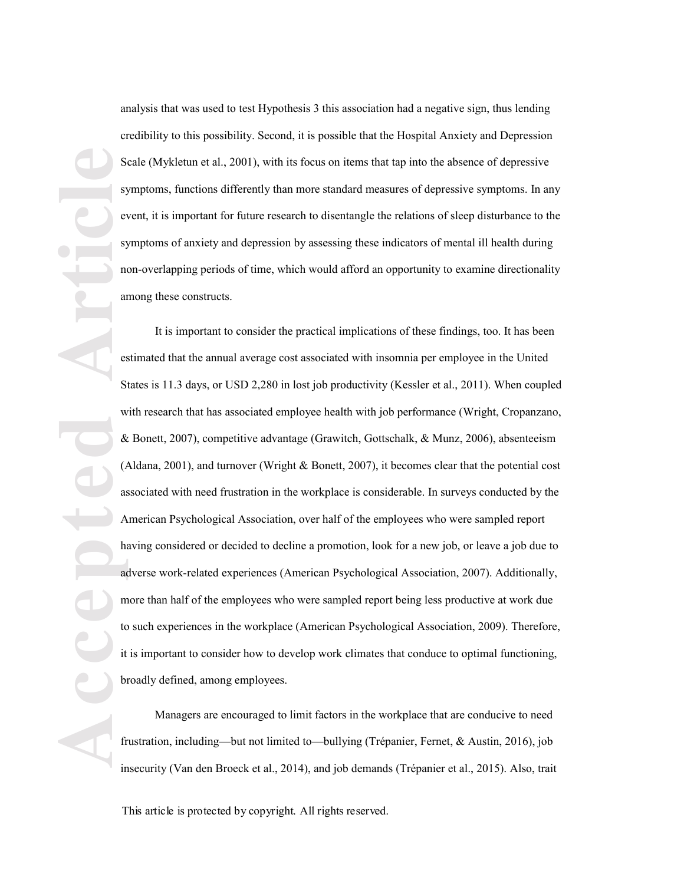analysis that was used to test Hypothesis 3 this association had a negative sign, thus lending credibility to this possibility. Second, it is possible that the Hospital Anxiety and Depression Scale (Mykletun et al., 2001), with its focus on items that tap into the absence of depressive symptoms, functions differently than more standard measures of depressive symptoms. In any event, it is important for future research to disentangle the relations of sleep disturbance to the symptoms of anxiety and depression by assessing these indicators of mental ill health during non -overlapping periods of time, which would afford an opportunity to examine directionality among these constructs.

**Accepted Article** It is important to consider the practical implications of these findings, too. It has been estimated that the annual average cost associated with insomnia per employee in the United States is 11.3 days, or USD 2 ,280 in lost job productivity (Kessler et al., 2011). When coupled with research that has associated employee health with job performance (Wright, Cropanzano, & Bonett, 2007), competitive advantage (Grawitch, Gottschalk, & Munz, 2006), absenteeism (Aldana, 2001), and turnover (Wright & Bonett, 2007), it becomes clear that the potential cost associated with need frustration in the workplace is considerable. In surveys conducted by the American Psychological Association, over half of the employees who were sampled report having considered or decided to decline a promotion, look for a new job, or leave a job due to adverse work -related experiences (American Psychological Association, 2007). Additionally, more than half of the employees who were sampled report being less productive at work due to such experiences in the workplace (American Psychological Association, 2009). Therefore, it is important to consider how to develop work climates that conduce to optimal functioning, broadly defined, among employees.

Managers are encouraged to limit factors in the workplace that are conducive to need frustration, including—but not limited to—bullying (Trépanier, Fernet, & Austin, 2016), job insecurity (Van den Broeck et al., 2014), and job demands (Trépanier et al., 2015). Also, trait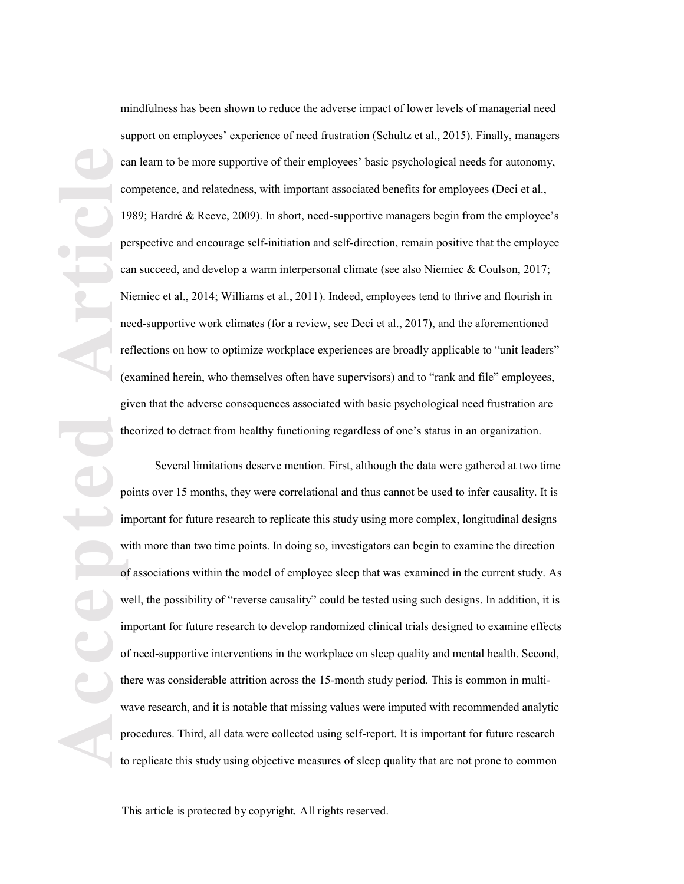mindfulness has been shown to reduce the adverse impact of lower levels of managerial need support on employees' experience of need frustration (Schultz et al., 2015). Finally, managers can learn to be more supportive of their employees' basic psychological needs for autonomy, competence, and relatedness, with important associated benefits for employees (Deci et al., 1989; Hardré & Reeve, 2009). In short, need-supportive managers begin from the employee's perspective and encourage self-initiation and self-direction, remain positive that the employee can succeed, and develop a warm interpersonal climate (see also Niemiec & Coulson, 2017; Niemiec et al., 2014; Williams et al., 2011). Indeed, employees tend to thrive and flourish in need -supportive work climates (for a review, see Deci et al., 2017 ), and the aforementioned reflections on how to optimize workplace experiences are broadly applicable to "unit leaders" (examined herein, who themselves often have supervisors) and to "rank and file" employees, given that the adverse consequences associated with basic psychological need frustration are theorized to detract from healthy functioning regardless of one's status in an organization.

**Article**<br> **Article**<br> **Article**<br> **Article**<br> **Article**<br> **Article**<br> **Article**<br> **Article**<br> **Article**<br> **Article**<br> **Article** Several limitations deserve mention. First, although the data were gathered at two time points over 15 months, they were correlational and thus cannot be used to infer causality. It is important for future research to replicate this study using more complex , longitudinal designs with more than two time points. In doing so, investigators can begin to examine the direction of associations within the model of employee sleep that was examined in the current study. As well, the possibility of "reverse causality" could be tested using such designs. In addition, it is important for future research to develop randomized clinical trials designed to examine effects of need -supportive interventions in the workplace on sleep quality and mental health. Second, there was considerable attrition across the 15 -month study period. This is common in multi wave research, and it is notable that missing values were imputed with recommended analytic procedures. Third, all data were collected using self-report. It is important for future research to replicate this study using objective measures of sleep quality that are not prone to common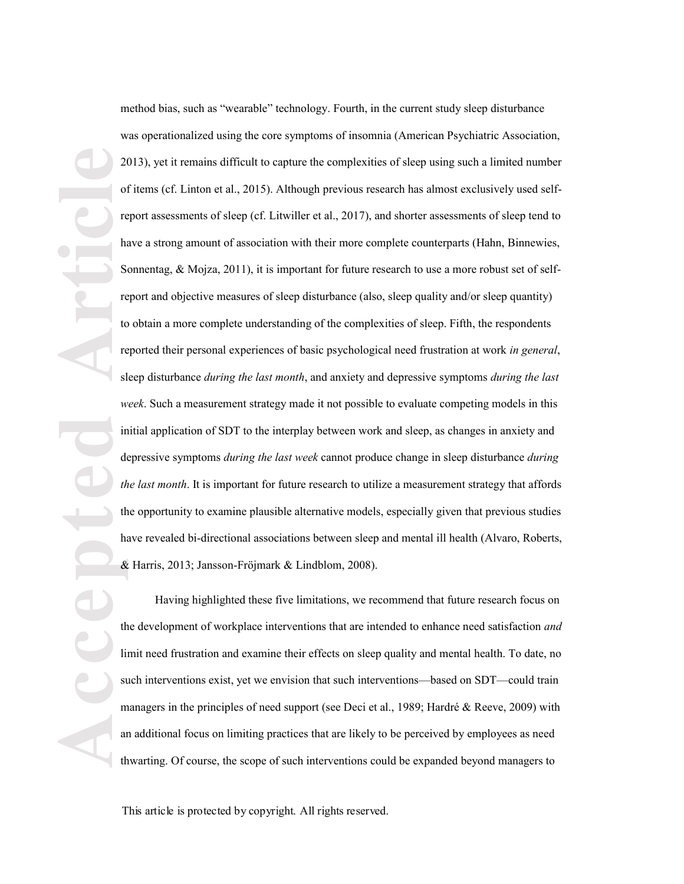**Accepted Article** method bias, such as "wearable" technology. Fourth, in the current study sleep disturbance was operationalized using the core symptoms of insomnia (American Psychiatric Association, 2013), yet it remains difficult to capture the complexities of sleep using such a limited number of items (cf. Linton et al., 2015). Although previous research has almost exclusively used selfreport assessments of sleep (cf. Litwiller et al., 2017), and shorter assessments of sleep tend to have a strong amount of association with their more complete counterparts (Hahn, Binnewies, Sonnentag, & Mojza, 2011), it is important for future research to use a more robust set of selfreport and objective measures of sleep disturbance (also, sleep quality and/or sleep quantity) to obtain a more complete understanding of the complexities of sleep. Fifth, the respondents reported their personal experiences of basic psychological need frustration at work *in general*, sleep disturbance *during the last month*, and anxiety and depressive symptoms *during the last week*. Such a measurement strategy made it not possible to evaluate competing models in this initial application of SDT to the interplay between work and sleep, as changes in anxiety and depressive symptoms *during the last week* cannot produce change in sleep disturbance *during the last month*. It is important for future research to utilize a measurement strategy that affords the opportunity to examine plausible alternative models, especially given that previous studies have revealed bi -directional associations between sleep and mental ill health (Alvaro, Roberts, & Harris, 2013; Jansson -Fr öjmark & Lindblom, 2008).

Having highlighted these five limitations, we recommend that future research focus on the development of workplace interventions that are intended to enhance need satisfaction *and* limit need frustration and examine their effects on sleep quality and mental health. To date, no such interventions exist, yet we envision that such interventions—based on SDT—could train managers in the principles of need support (see Deci et al., 1989; Hardré & Reeve, 2009) with an additional focus on limiting practices that are likely to be perceived by employees as need thwarting. Of course, the scope of such interventions could be expanded beyond managers to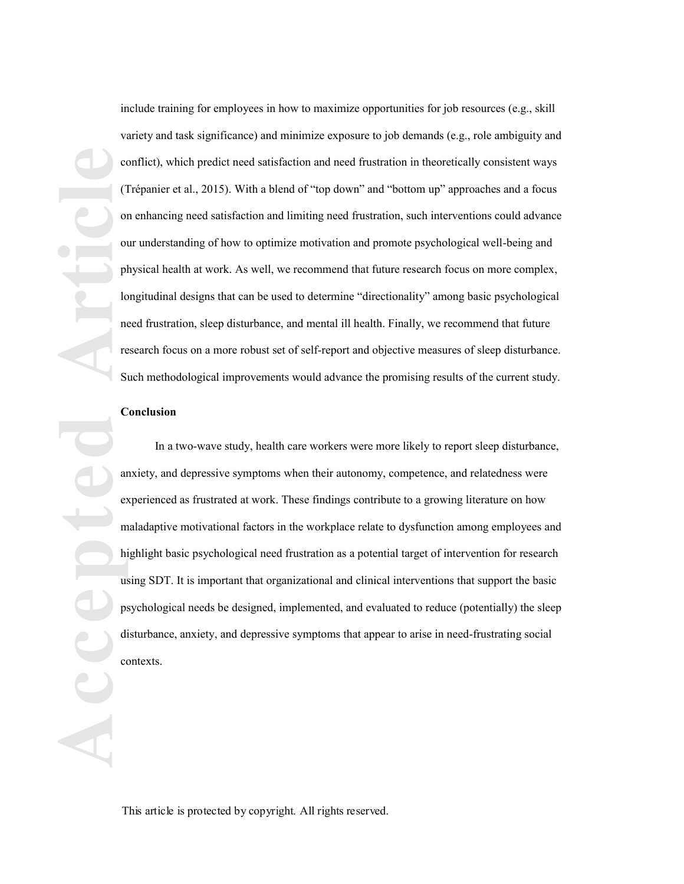include training for employees in how to maximize opportunities for job resources (e.g., skill variety and task significance) and minimize exposure to job demands (e.g., role ambiguity and conflict), which predict need satisfaction and need frustration in theoretically consistent ways (Trépanier et al., 2015). With a blend of "top down" and "bottom up" approaches and a focus on enhancing need satisfaction and limiting need frustration, such interventions could advance our understanding of how to optimize motivation and promote psychological well -being and physical health at work. As well, we recommend that future research focus on more complex, longitudinal designs that can be used to determine "directionality" among basic psychological need frustration, sleep disturbance, and mental ill health. Finally, we recommend that future research focus on a more robust set of self-report and objective measures of sleep disturbance. Such methodological improvements would advance the promising results of the current study.

## **Conclusion**

**ACCEPTED Article** In a two -wave study, health care workers were more likely to report sleep disturbance, anxiety, and depressive symptoms when their autonomy, competence, and relatedness were experienced as frustrated at work. These findings contribute to a growing literature on how maladaptive motivational factors in the workplace relate to dysfunction among employees and highlight basic psychological need frustration as a potential target of intervention for research using SDT. It is important that organizational and clinical interventions that support the basic psychological needs be designed, implemented, and evaluated to reduce (potentially) the sleep disturbance, anxiety , and depressive symptoms that appear to arise in need -frustrating social contexts .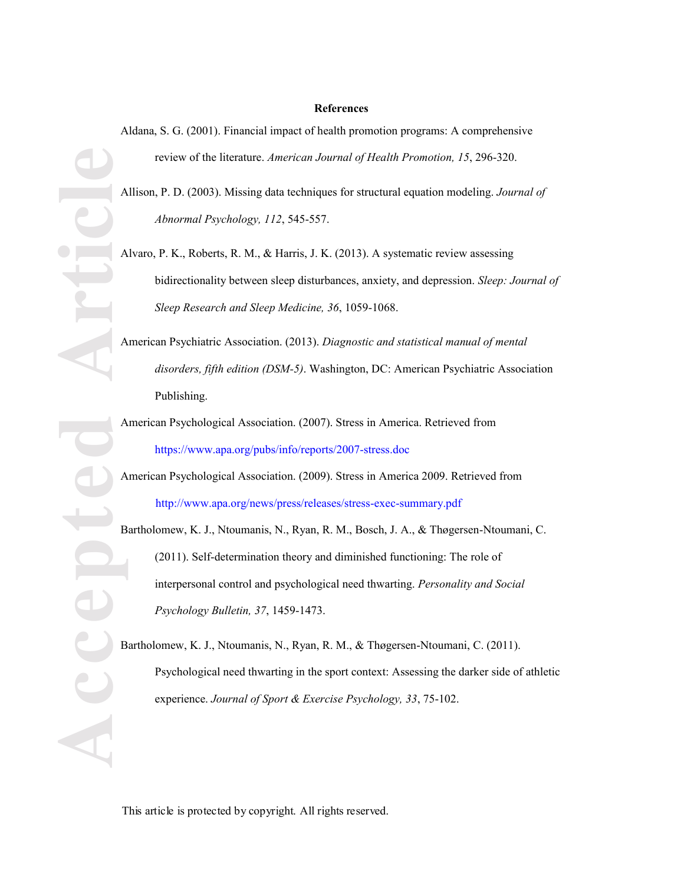### **References**

Aldana, S. G. (2001). Financial impact of health promotion programs: A comprehensive review of the literature. *American Journal of Health Promotion, 15*, 296 -320.

Allison, P. D. (2003). Missing data techniques for structural equation modeling. *Journal of Abnormal Psychology, 112*, 545 -557.

**Accepted Article** Alvaro, P. K., Roberts, R. M., & Harris, J. K. (2013). A systematic review assessing bidirectionality between sleep disturbances, anxiety, and depression. *Sleep: Journal of*  Sleep Research and Sleep Medicine, 36, 1059-1068.

American Psychiatric Association. (2013). *Diagnostic and statistical manual of mental disorders, fifth edition (DSM-5)*. Washington, DC: American Psychiatric Association Publishing.

American Psychological Association. (2007). Stress in America. Retrieved from https://www.apa.org/pubs/info/reports/2007 -stress.doc

American Psychological Association. (2009). Stress in America 2009. Retrieved from http://www.apa.org/news/press/releases/stress -exec -summary.pdf

Bartholomew, K. J., Ntoumanis, N., Ryan, R. M., Bosch, J. A., & Thøgersen -Ntoumani, C. (2011). Self-determination theory and diminished functioning: The role of interpersonal control and psychological need thwarting. *Personality and Social Psychology Bulletin, 37*, 1459 -1473.

Bartholomew, K. J., Ntoumanis, N., Ryan, R. M., & Thøgersen -Ntoumani, C. (2011). Psychological need thwarting in the sport context: Assessing the darker side of athletic experience. Journal of Sport & Exercise Psychology, 33, 75-102.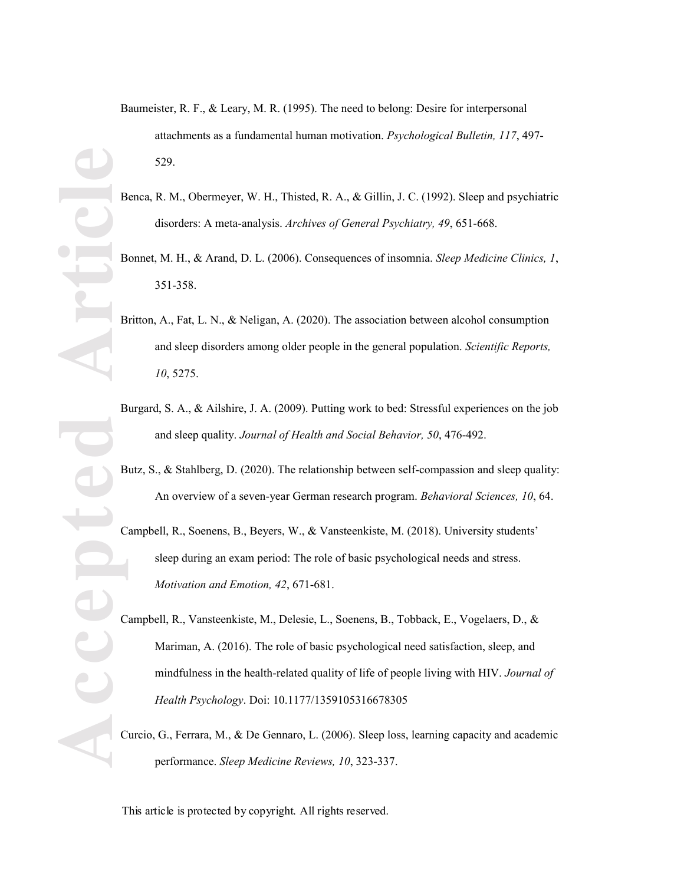- Benca, R. M., Obermeyer, W. H., Thisted, R. A., & Gillin, J. C. (1992). Sleep and psychiatric disorders: A meta -analysis. *Archives of General Psychiatry, 49*, 651 -668.
- Bonnet, M. H., & Arand, D. L. (2006). Consequences of insomnia. *Sleep Medicine Clinics, 1*, 351 -358.
- Britton, A., Fat, L. N., & Neligan, A. (2020). The association between alcohol consumption and sleep disorders among older people in the general population. *Scientific Reports, 10*, 5275.
- Burgard, S. A., & Ailshire, J. A. (2009). Putting work to bed: Stressful experiences on the job and sleep quality. *Journal of Health and Social Behavior, 50*, 476 -492.
- Butz, S., & Stahlberg, D. (2020). The relationship between self-compassion and sleep quality: An overview of a seven -year German research program. *Behavioral Sciences, 10*, 64.

Campbell, R., Soenens, B., Beyers, W., & Vansteenkiste, M. (2018). University students' sleep during an exam period: The role of basic psychological needs and stress. *Motivation and Emotion, 42*, 671 -681.

Campbell, R., Vansteenkiste, M., Delesie, L., Soenens, B., Tobback, E., Vogelaers, D., & Mariman, A. (2016). The role of basic psychological need satisfaction, sleep, and mindfulness in the health -related quality of life of people living with HIV. *Journal of Health Psychology*. Doi: 10.1177/1359105316678305

Curcio, G., Ferrara, M., & De Gennaro, L. (2006). Sleep loss, learning capacity and academic performance. *Sleep Medicine Reviews, 10*, 323 -337.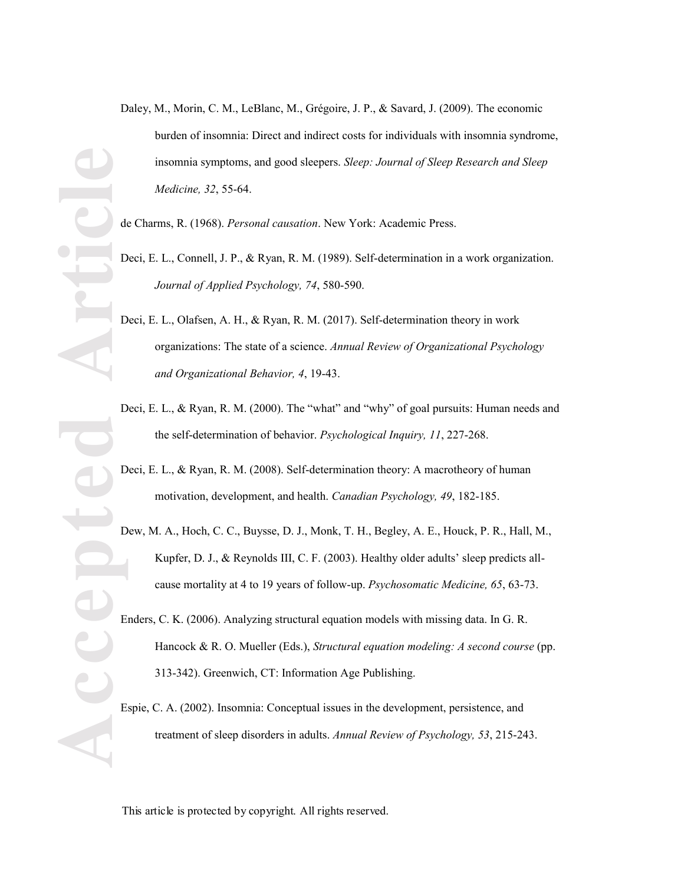- Daley, M., Morin, C. M., LeBlanc, M., Grégoire, J. P., & Savard, J. (2009). The economic burden of insomnia: Direct and indirect costs for individuals with insomnia syndrome, insomnia symptoms, and good sleepers. *Sleep: Journal of Sleep Research and Sleep Medicine, 32*, 55 -64.
- de Charms, R. (1968). *Personal causation*. New York: Academic Press.
- Deci, E. L., Connell, J. P., & Ryan, R. M. (1989). Self-determination in a work organization. *Journal of Applied Psychology, 74*, 580 -590.
- **Accepted Article** Deci, E. L., Olafsen, A. H., & Ryan, R. M. (2017). Self-determination theory in work organizations: The state of a science. *Annual Review of Organizational Psychology and Organizational Behavior, 4*, 19 -43.
	- Deci, E. L., & Ryan, R. M. (2000). The "what" and "why" of goal pursuits: Human needs and the self-determination of behavior. *Psychological Inquiry, 11* , 227 -268.
	- Deci, E. L., & Ryan, R. M. (2008). Self-determination theory: A macrotheory of human motivation, development, and health. *Canadian Psychology, 4 9*, 182 -185.
	- Dew, M. A., Hoch, C. C., Buysse, D. J., Monk, T. H., Begley, A. E., Houck, P. R., Hall, M., Kupfer, D. J., & Reynolds III, C. F. (2003). Healthy older adults' sleep predicts allcause mortality at 4 to 19 years of follow -up. *Psychosomatic Medicine, 65*, 63 -73.
	- Enders, C. K. (2006). Analyzing structural equation models with missing data. In G. R. Hancock & R. O. Mueller (Eds.), *Structural equation modeling: A second course* (pp. 313 -342). Greenwich, CT: Information Age Publishing.
	- Espie, C. A. (2002). Insomnia: Conceptual issues in the development, persistence, and treatment of sleep disorders in adults. *Annual Review of Psychology, 53*, 215 -243.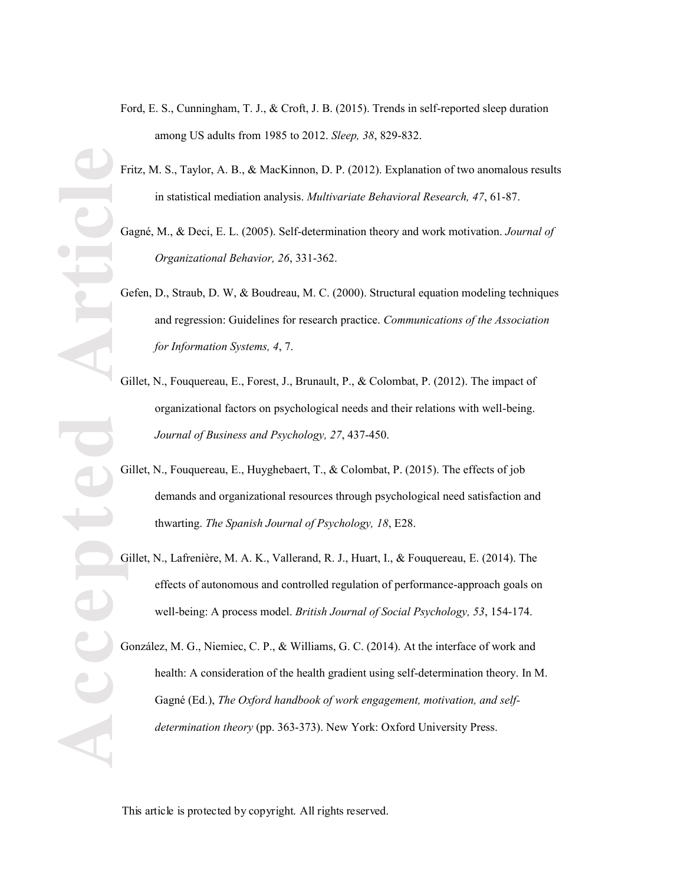- Ford, E. S., Cunningham, T. J., & Croft, J. B. (2015). Trends in self-reported sleep duration among US adults from 1985 to 2012. *Sleep, 38*, 829 -832.
- Fritz, M. S., Taylor, A. B., & MacKinnon, D. P. (2012). Explanation of two anomalous results in statistical mediation analysis. *Multivariate Behavioral Research, 47*, 61 -87.
- Gagné, M., & Deci, E. L. (2005). Self-determination theory and work motivation. *Journal of Organizational Behavior, 26*, 331 -362.
- Gefen, D., Straub, D. W, & Boudreau, M. C. (2000). Structural equation modeling techniques and regression: Guidelines for research practice. *Communications of the Association for Information Systems, 4*, 7.
- Gillet, N., Fouquereau, E., Forest, J., Brunault, P., & Colombat, P. (2012). The impact of organizational factors on psychological needs and their relations with well -being. *Journal of Business and Psychology, 27*, 437 -450.
- Gillet, N., Fouquereau, E., Huyghebaert, T., & Colombat, P. (2015). The effects of job demands and organizational resources through psychological need satisfaction and thwarting. *The Spanish Journal of Psychology, 18*, E28.
- Gillet, N., Lafrenière, M. A. K., Vallerand, R. J., Huart, I., & Fouquereau, E. (2014). The effects of autonomous and controlled regulation of performance -approach goals on well -being: A process model. *British Journal of Social Psychology, 53*, 154 -174.

González, M. G., Niemiec, C. P., & Williams, G. C. (2014). At the interface of work and health: A consideration of the health gradient using self-determination theory. In M. Gagné (Ed.), *The Oxford handbook of work engagement, motivation, and selfdetermination theory* (pp. 363-373). New York: Oxford University Press.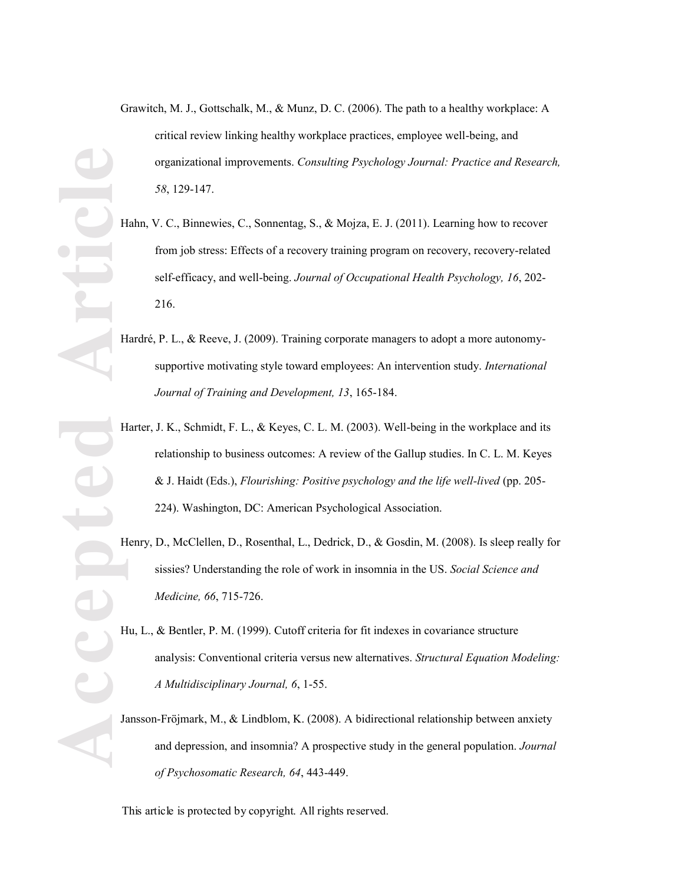- Grawitch, M. J., Gottschalk, M., & Munz, D. C. (2006). The path to a healthy workplace: A critical review linking healthy workplace practices, employee well -being, and organizational improvements. *Consulting Psychology Journal: Practice and Research, 58*, 129 -147.
- Hahn, V. C., Binnewies, C., Sonnentag, S., & Mojza, E. J. (2011). Learning how to recover from job stress: Effects of a recovery training program on recovery, recovery-related self-efficacy, and well-being. *Journal of Occupational Health Psychology*, 16, 202-216.
- Hardré, P. L., & Reeve, J. (2009). Training corporate managers to adopt a more autonomysupportive motivating style toward employees: An intervention study. *International Journal of Training and Development, 13*, 165 -184.
- Harter, J. K., Schmidt, F. L., & Keyes, C. L. M. (2003). Well-being in the workplace and its relationship to business outcomes: A review of the Gallup studies. In C. L. M. Keyes & J. Haidt (Eds.), *Flourishing: Positive psychology and the life well-lived* (pp. 205-224). Washington, DC: American Psychological Association.
- Henry, D., McClellen, D., Rosenthal, L., Dedrick, D., & Gosdin, M. (2008). Is sleep really for sissies? Understanding the role of work in insomnia in the US. *Social Science and Medicine, 66*, 715 -726.
- Hu, L., & Bentler, P. M. (1999). Cutoff criteria for fit indexes in covariance structure analysis: Conventional criteria versus new alternatives. *Structural Equation Modeling: A Multidisciplinary Journal, 6*, 1 -55.
- Jansson -Fröjmark, M., & Lindblom, K. (2008). A bidirectional relationship between anxiety and depression, and insomnia? A prospective study in the general population. *Journal of Psychosomatic Research, 64*, 443 -449.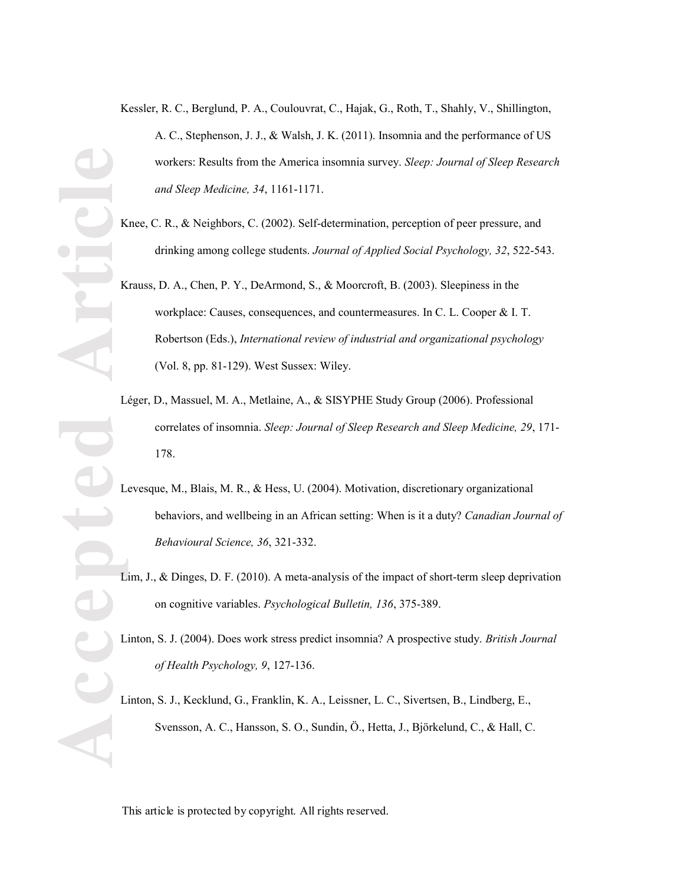- Kessler, R. C., Berglund, P. A., Coulouvrat, C., Hajak, G., Roth, T., Shahly, V., Shillington, A. C., Stephenson, J. J., & Walsh, J. K. (2011). Insomnia and the performance of US workers: Results from the America insomnia survey. *Sleep: Journal of Sleep Research and Sleep Medicine, 34*, 1161 -1171.
- Knee, C. R., & Neighbors, C. (2002). Self-determination, perception of peer pressure, and drinking among college students. *Journal of Applied Social Psychology, 32*, 522 -543.
- Krauss, D. A., Chen, P. Y., DeArmond, S., & Moorcroft, B. (2003). Sleepiness in the workplace: Causes, consequences, and countermeasures. In C. L. Cooper & I. T. Robertson (Eds.), *International review of industrial and organizational psychology* (Vol. 8, pp. 81 -129). West Sussex: Wiley.
- Léger, D., Massuel, M. A., Metlaine, A., & SISYPHE Study Group (2006). Professional correlates of insomnia. *Sleep: Journal of Sleep Research and Sleep Medicine, 29*, 171 - 178.
- Levesque, M., Blais, M. R., & Hess, U. (2004). Motivation, discretionary organizational behaviors, and wellbeing in an African setting: When is it a duty? *Canadian Journal of Behavioural Science, 36*, 321 -332.
- Lim, J., & Dinges, D. F. (2010). A meta-analysis of the impact of short-term sleep deprivation on cognitive variables. *Psychological Bulletin, 136*, 375 -389.
- Linton, S. J. (2004). Does work stress predict insomnia? A prospective study. *British Journal of Health Psychology, 9*, 127 -136.
- Linton, S. J., Kecklund, G., Franklin, K. A., Leissner, L. C., Sivertsen, B., Lindberg, E., Svensson, A. C., Hansson, S. O., Sundin, Ö., Hetta, J., Björkelund, C., & Hall, C.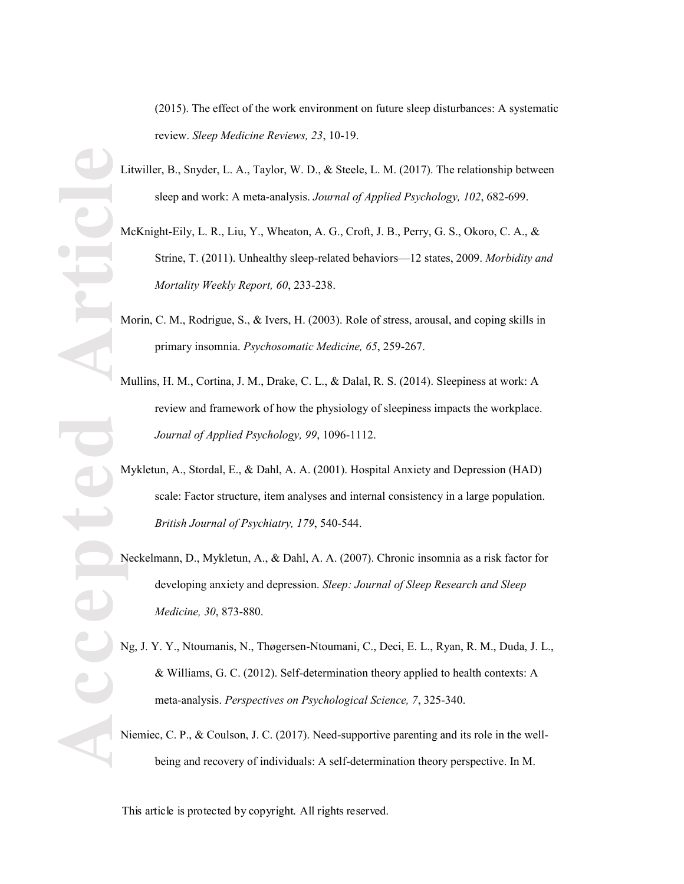(2015). The effect of the work environment on future sleep disturbances: A systematic review. *Sleep Medicine Reviews, 23*, 10 -19.

- Litwiller, B., Snyder, L. A., Taylor, W. D., & Steele, L. M. (2017). The relationship between sleep and work: A meta -analysis. *Journal of Applied Psychology, 102*, 682 -699.
- McKnight -Eily, L. R., Liu, Y., Wheaton, A. G., Croft, J. B., Perry, G. S., Okoro, C. A., & Strine, T. (2011). Unhealthy sleep-related behaviors-12 states, 2009. Morbidity and *Mortality Weekly Report, 60*, 233 -238.
- Morin, C. M., Rodrigue, S., & Ivers, H. (2003). Role of stress, arousal, and coping skills in primary insomnia. *Psychosomatic Medicine, 65*, 259 -267.
- Mullins, H. M., Cortina, J. M., Drake, C. L., & Dalal, R. S. (2014). Sleepiness at work: A review and framework of how the physiology of sleepiness impacts the workplace. *Journal of Applied Psychology, 99*, 1096 -1112.
- Mykletun, A., Stordal, E., & Dahl, A. A. (2001). Hospital Anxiety and Depression (HAD) scale: Factor structure, item analyses and internal consistency in a large population. *British Journal of Psychiatry, 179*, 540 -544.
- Neckelmann, D., Mykletun, A., & Dahl, A. A. (2007). Chronic insomnia as a risk factor for developing anxiety and depression. *Sleep: Journal of Sleep Research and Sleep Medicine, 30*, 873 -880.
- Ng, J. Y. Y., Ntoumanis, N., Thøgersen -Ntoumani, C., Deci, E. L., Ryan, R. M., Duda, J. L., & Williams, G. C. (2012). Self-determination theory applied to health contexts: A meta -analysis. *Perspectives on Psychological Science, 7*, 325 -340.
- Niemiec, C. P., & Coulson, J. C. (2017). Need-supportive parenting and its role in the wellbeing and recovery of individuals: A self-determination theory perspective. In M.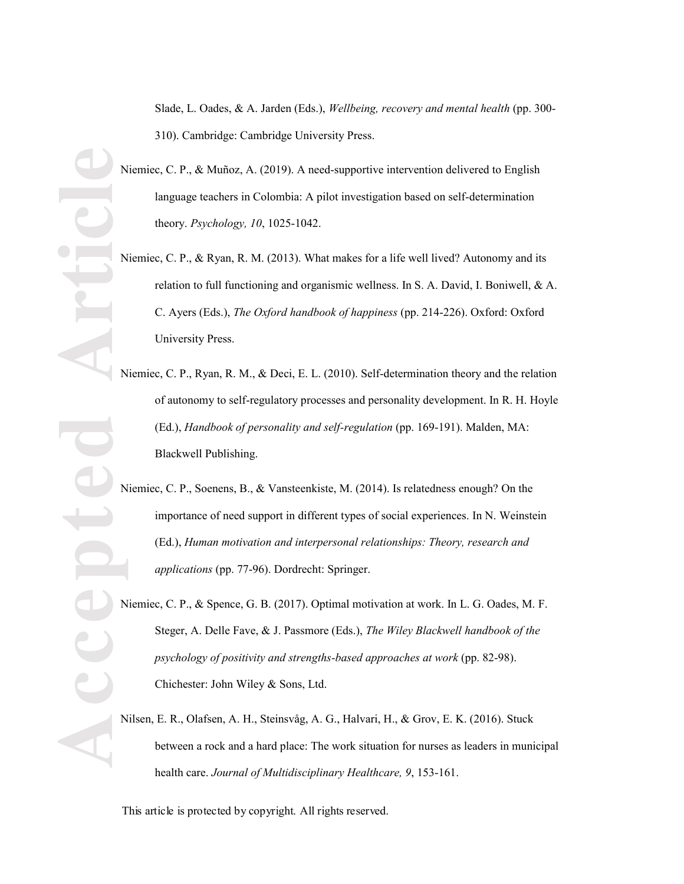Slade, L. Oades, & A. Jarden (Eds.), *Wellbeing, recovery and mental health* (pp. 300 - 310). Cambridge: Cambridge University Press.

- Niemiec, C. P., & Muñoz, A. (2019). A need -supportive intervention delivered to English language teachers in Colombia: A pilot investigation based on self-determination theory. *Psychology, 10*, 1025 -1042.
- Niemiec, C. P., & Ryan, R. M. (2013). What makes for a life well lived? Autonomy and its relation to full functioning and organismic wellness. In S. A. David, I. Boniwell, & A. C. Ayers (Eds.), *The Oxford handbook of happiness* (pp. 214 -226). Oxford: Oxford University Press.
- Niemiec, C. P., Ryan, R. M., & Deci, E. L. (2010). Self-determination theory and the relation of autonomy to self-regulatory processes and personality development. In R. H. Hoyle (Ed.), *Handbook of personality and self-regulation* (pp. 169 -191). Malden, MA: Blackwell Publishing.
- Niemiec, C. P., Soenens, B., & Vansteenkiste, M. (2014). Is relatedness enough? On the importance of need support in different types of social experiences. In N. Weinstein (Ed.), *Human motivation and interpersonal relationships: Theory, research and applications* (pp. 77 -96). Dordrecht: Springer.
- Niemiec, C. P., & Spence, G. B. (2017). Optimal motivation at work. In L. G. Oades, M. F. Steger, A. Delle Fave, & J. Passmore (Eds.), *The Wiley Blackwell handbook of the psychology of positivity and strengths -based approaches at work* (pp. 82 -98). Chichester: John Wiley & Sons, Ltd.
- Nilsen, E. R., Olafsen, A. H., Steinsvåg, A. G., Halvari, H., & Grov, E. K. (2016). Stuck between a rock and a hard place: The work situation for nurses as leaders in municipal health care. *Journal of Multidisciplinary Healthcare, 9*, 153 -161.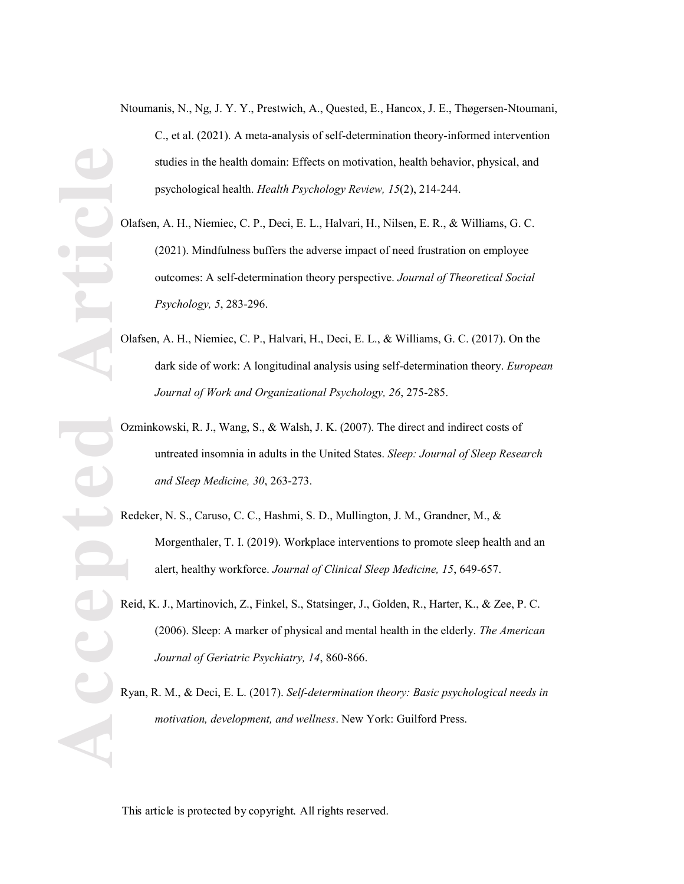- Ntoumanis, N., Ng, J. Y. Y., Prestwich, A., Quested, E., Hancox, J. E., Thøgersen-Ntoumani, C., et al. (2021). A meta -analysis of self-determination theory -informed intervention studies in the health domain: Effects on motivation, health behavior, physical, and psychological health. *Health Psychology Review, 15*(2), 214 -244.
- Olafsen, A. H., Niemiec, C. P., Deci, E. L., Halvari, H., Nilsen, E. R., & Williams, G. C. (2021). Mindfulness buffers the adverse impact of need frustration on employee outcomes: A self-determination theory perspective. *Journal of Theoretical Social Psychology, 5*, 283 -296 .
- Olafsen, A. H., Niemiec, C. P., Halvari, H., Deci, E. L., & Williams, G. C. (2017). On the dark side of work: A longitudinal analysis using self-determination theory. *European Journal of Work and Organizational Psychology, 26*, 275 -285.
- Ozminkowski, R. J., Wang, S., & Walsh, J. K. (2007). The direct and indirect costs of untreated insomnia in adults in the United States. *Sleep: Journal of Sleep Research and Sleep Medicine, 30*, 263 -273.
- Redeker, N. S., Caruso, C. C., Hashmi, S. D., Mullington, J. M., Grandner, M., & Morgenthaler, T. I. (2019). Workplace interventions to promote sleep health and an alert, healthy workforce. *Journal of Clinical Sleep Medicine, 15*, 649 -657.
- Reid, K. J., Martinovich, Z., Finkel, S., Statsinger, J., Golden, R., Harter, K., & Zee, P. C. (2006). Sleep: A marker of physical and mental health in the elderly. *The American Journal of Geriatric Psychiatry, 14*, 860 -866.
- Ryan, R. M., & Deci, E. L. (2017). *Self-determination theory: Basic psychological needs in motivation, development, and wellness*. New York: Guilford Press.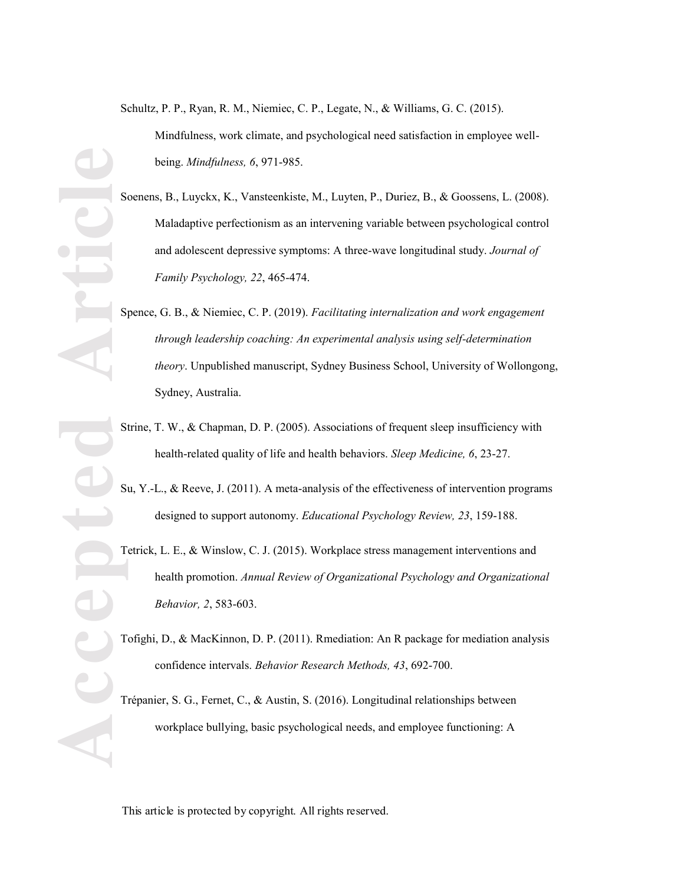Schultz, P. P., Ryan, R. M., Niemiec, C. P., Legate, N., & Williams, G. C. (2015). Mindfulness, work climate, and psychological need satisfaction in employee well being. *Mindfulness, 6*, 971 -985.

- Soenens, B., Luyckx, K., Vansteenkiste, M., Luyten, P., Duriez, B., & Goossens, L. (2008). Maladaptive perfectionism as an intervening variable between psychological control and adolescent depressive symptoms: A three -wave longitudinal study. *Journal of Family Psychology, 22*, 465 -474.
- Spence, G. B., & Niemiec, C. P. (2019). *Facilitating internalization and work engagement through leadership coaching: An experimental analysis using self-determination theory*. Unpublished manuscript, Sydney Business School, University of Wollongong, Sydney, Australia.
- Strine, T. W., & Chapman, D. P. (2005). Associations of frequent sleep insufficiency with health -related quality of life and health behaviors. *Sleep Medicine, 6*, 23 -27.
- Su, Y. -L., & Reeve, J. (2011). A meta -analysis of the effectiveness of intervention programs designed to support autonomy. *Educational Psychology Review, 23*, 159 -188.
- Tetrick, L. E., & Winslow, C. J. (2015). Workplace stress management interventions and health promotion. *Annual Review of Organizational Psychology and Organizational Behavior, 2*, 583 -603 .
- Tofighi, D., & MacKinnon, D. P. (2011). R mediation: An R package for mediation analysis confidence intervals. *Behavior Research Methods, 43*, 692 -700.

Trépanier, S. G., Fernet, C., & Austin, S. (2016). Longitudinal relationships between workplace bullying, basic psychological needs, and employee functioning: A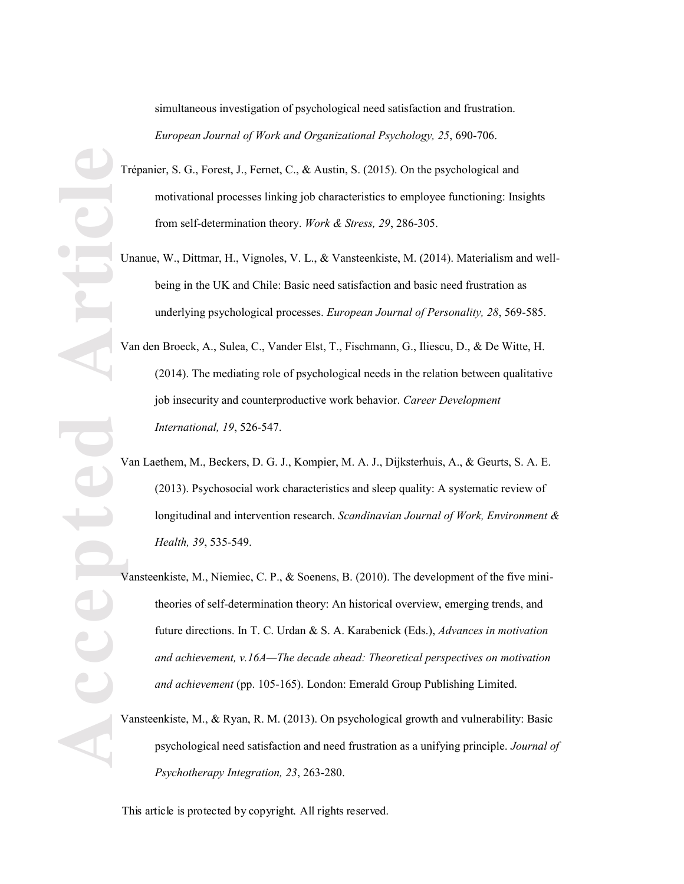simultaneous investigation of psychological need satisfaction and frustration. *European Journal of Work and Organizational Psychology, 25*, 690 -706.

- Trépanier, S. G., Forest, J., Fernet, C., & Austin, S. (2015). On the psychological and motivational processes linking job characteristics to employee functioning: Insights from self-determination theory. *Work & Stress*, 29, 286-305.
- Unanue, W., Dittmar, H., Vignoles, V. L., & Vansteenkiste, M. (2014). Materialism and wellbeing in the UK and Chile: Basic need satisfaction and basic need frustration as underlying psychological processes. *European Journal of Personality, 28*, 569 -585.
- Van den Broeck, A., Sulea, C., Vander Elst, T., Fischmann, G., Iliescu, D., & De Witte, H. (2014). The mediating role of psychological needs in the relation between qualitative job insecurity and counterproductive work behavior. *Career Development International, 19*, 526 -547.
- Van Laethem, M., Beckers, D. G. J., Kompier, M. A. J., Dijksterhuis, A., & Geurts, S. A. E. (2013). Psychosocial work characteristics and sleep quality: A systematic review of longitudinal and intervention research. *Scandinavian Journal of Work, Environment & Health, 39*, 535 -549.
- Vansteenkiste, M., Niemiec, C. P., & Soenens, B. (2010). The development of the five minitheories of self-determination theory: An historical overview, emerging trends, and future directions. In T. C. Urdan & S. A. Karabenick (Eds.), *Advances in motivation*  and achievement, v.16A—The decade ahead: Theoretical perspectives on motivation *and achievement* (pp. 105 -165). London: Emerald Group Publishing Limited.
- Vansteenkiste, M., & Ryan, R. M. (2013). On psychological growth and vulnerability: Basic psychological need satisfaction and need frustration as a unifying principle. *Journal of Psychotherapy Integration, 23*, 263 -280.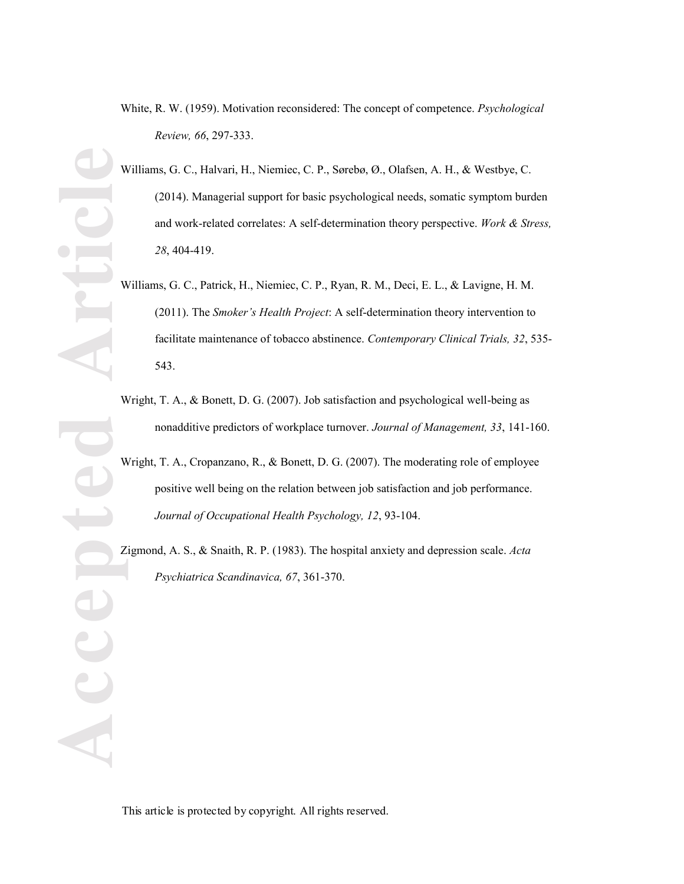White, R. W. (1959). Motivation reconsidered: The concept of competence. *Psychological Review, 66*, 297 -333.

**Accepted Article** Williams, G. C., Halvari, H., Niemiec, C. P., Sørebø, Ø., Olafsen, A. H., & Westbye, C. (2014). Managerial support for basic psychological needs, somatic symptom burden and work -related correlates: A self-determination theory perspective. *Work & Stress, 28*, 404 -419.

- Williams, G. C., Patrick, H., Niemiec, C. P., Ryan, R. M., Deci, E. L., & Lavigne, H. M. (2011). The *Smoker's Health Project*: A self-determination theory intervention to facilitate maintenance of tobacco abstinence. *Contemporary Clinical Trials, 32*, 535 - 543.
- Wright, T. A., & Bonett, D. G. (2007). Job satisfaction and psychological well-being as nonadditive predictors of workplace turnover. *Journal of Management, 33*, 141 -160.
- Wright, T. A., Cropanzano, R., & Bonett, D. G. (2007). The moderating role of employee positive well being on the relation between job satisfaction and job performance. *Journal of Occupational Health Psychology, 12*, 93 -104.

Zigmond, A. S., & Snaith, R. P. (1983). The hospital anxiety and depression scale. *Acta Psychiatrica Scandinavica, 67*, 361 -370.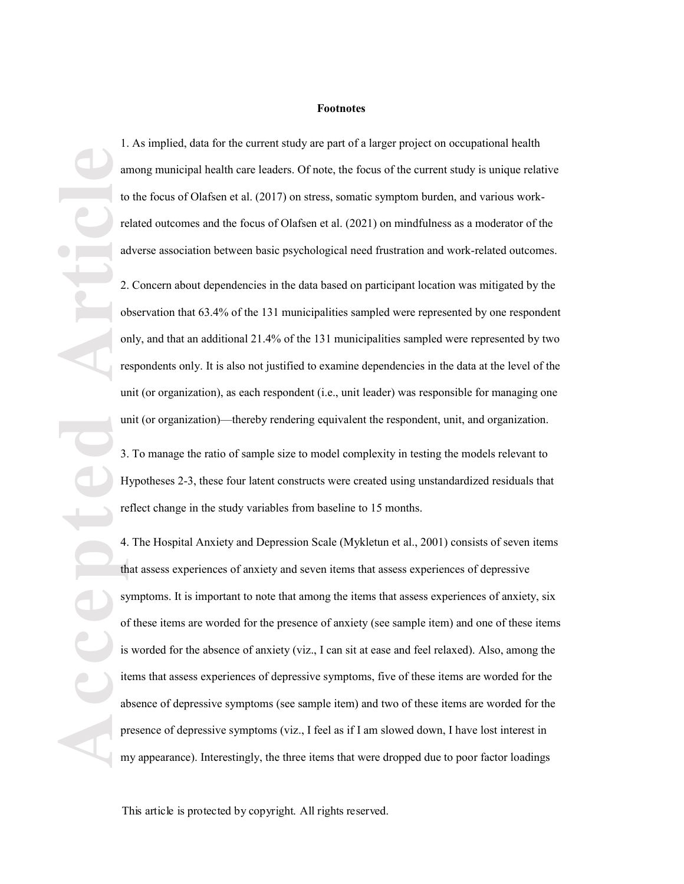#### **Footnotes**

1. As implied, data for the current study are part of a larger project on occupational health among municipal health care leaders. Of note, the focus of the current study is unique relative to the focus of Olafsen et al. (2017) on stress, somatic symptom burden, and various work related outcomes and the focus of Olafsen et al. (2021) on mindfulness as a moderator of the adverse association between basic psychological need frustration and work-related outcomes.

2. Concern about dependencies in the data based on participant location was mitigated by the observation that 63.4% of the 13 1 municipalities sampled were represented by one respondent only, and that an additional 21.4% of the 13 1 municipalities sampled were represented by two respondents only. It is also not justified to examine dependencies in the data at the level of the unit (or organization ), as each respondent (i.e., unit leader) was responsible for managing one unit (or organization)—thereby rendering equivalent the respondent, unit, and organization.

3. To manage the ratio of sample size to model complexity i n testing the models relevant to Hypotheses 2 -3, these four latent constructs were created using unstandardized residuals that reflect change in the study variables from baseline to 15 months.

**Accepted Article** 4. The Hospital Anxiety and Depression Scale (Mykletun et al., 2001) consists of seven items that assess experiences of anxiety and seven items that assess experiences of depressive symptoms. It is important to note that among the items that assess experiences of anxiety, six of these items are worded for the presence of anxiety (see sample item) and one of these items is worded for the absence of anxiety (viz., I can sit at ease and feel relaxed). Also, among the items that assess experiences of depressive symptoms, five of these items are worded for the absence of depressive symptoms (see sample item) and two of these items are worded for the presence of depressive symptoms (viz., I feel as if I am slowed down, I have lost interest in my appearance). Interestingly, the three items that were dropped due to poor factor loadings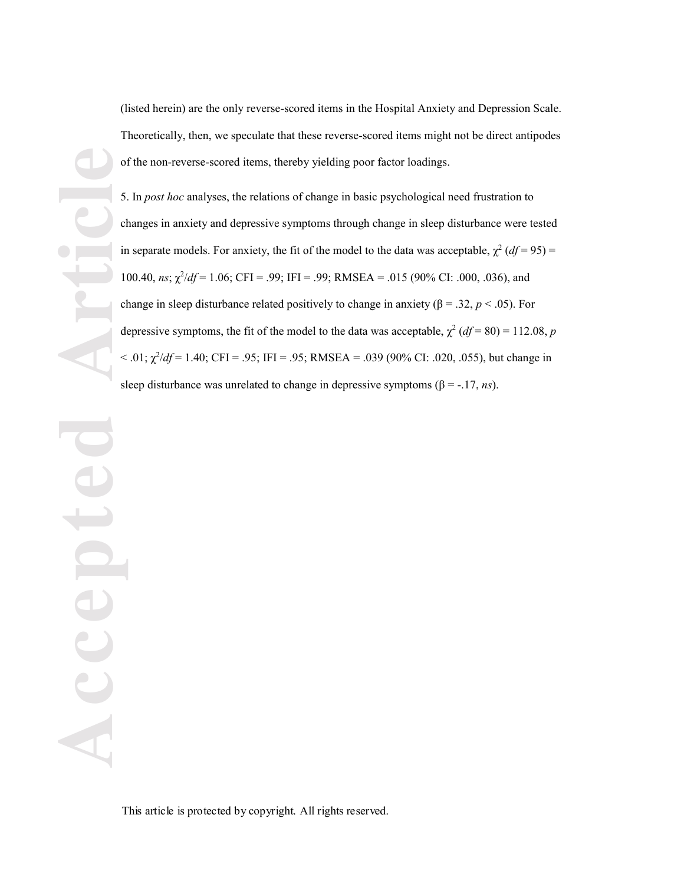(listed herein) are the only reverse -scored items in the Hospital Anxiety and Depression Scale. Theoretically, then, we speculate that these reverse -scored items might not be direct antipodes of the non -reverse -scored items, thereby yielding poor factor loadings .

5. In *post hoc* analyses, the relations of change in basic psychological need frustration to changes in anxiety and depressive symptoms through change in sleep disturbance were tested in separate models. For anxiety, the fit of the model to the data was acceptable,  $\chi^2$  (*df* = 95) = 100.40,  $n_s$ ;  $\chi^2/df = 1.06$ ; CFI = .99; IFI = .99; RMSEA = .015 (90% CI: .000, .036), and change in sleep disturbance related positively to change in anxiety ( $\beta$  = .32,  $p$  < .05). For depressive symptoms, the fit of the model to the data was acceptable,  $\chi^2 (df = 80) = 112.08$ , p  $<$  .01;  $\chi^2/df = 1.40$ ; CFI = .95; IFI = .95; RMSEA = .039 (90% CI: .020, .055), but change in sleep disturbance was unrelated to change in depressive symptoms ( $\beta$  = -.17, *ns*).

**Accepted Article PICE**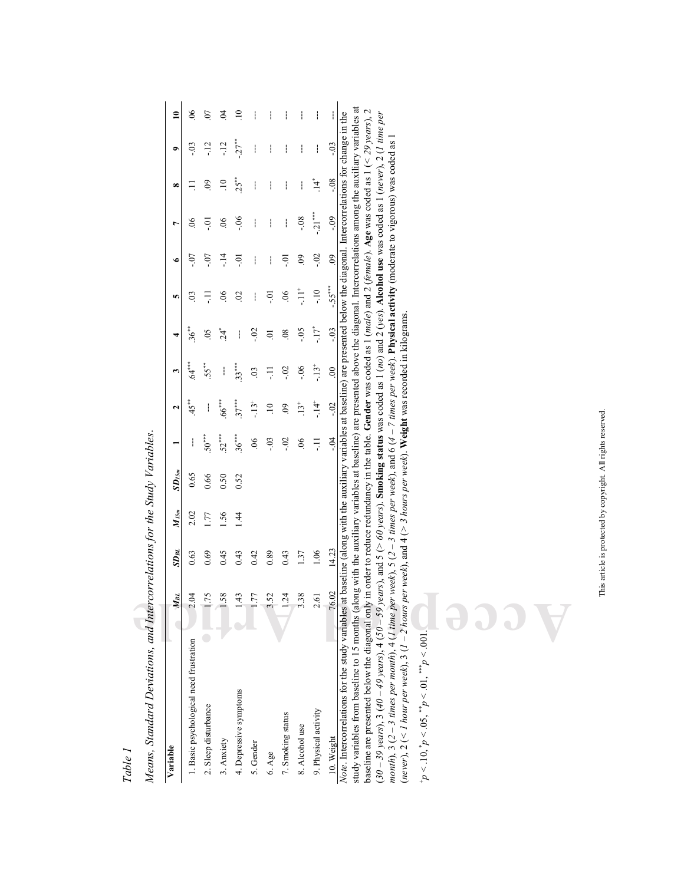| Means, Standard Deviations, and Intercorrelations for the Study Variables.                                                                                                                                                                                                                                                                                             |                     |           |           |            |                |                 |                |                |                |                     |                |             |        |                 |
|------------------------------------------------------------------------------------------------------------------------------------------------------------------------------------------------------------------------------------------------------------------------------------------------------------------------------------------------------------------------|---------------------|-----------|-----------|------------|----------------|-----------------|----------------|----------------|----------------|---------------------|----------------|-------------|--------|-----------------|
| Variable                                                                                                                                                                                                                                                                                                                                                               | $M_{BL}$            | $SD_{BL}$ | $M_{l5m}$ | $SD_{l5m}$ |                | 2               | m              | 4              | n              | $\bullet$           | r              | œ           | ۰      | $\overline{10}$ |
| 1. Basic psychological need frustration                                                                                                                                                                                                                                                                                                                                | $\ddot{\mathrm{d}}$ | 0.63      | 2.02      | 0.65       |                | 45**            | ***<br>64      | 36**           | S              | -07                 | 8 <sup>o</sup> |             | $-0.3$ | $\delta$        |
| 2. Sleep disturbance                                                                                                                                                                                                                                                                                                                                                   | .75                 | 0.69      | 1.77      | 0.66       | $50^{***}$     |                 | $55***$        | $\overline{6}$ | Ę              | $-0$ .              | io.            | $\odot$     | $-12$  | $\overline{0}$  |
| 3. Anxiety                                                                                                                                                                                                                                                                                                                                                             | SS.                 | 0.45      | 1.56      | 0.50       | $52***$        | 66***           | ł              | $24^*$         | $\mathcal{S}$  | $\frac{4}{1}$       | $\infty$       | $\Xi$       | $-12$  | $\mathfrak{S}$  |
| 4. Depressive symptoms                                                                                                                                                                                                                                                                                                                                                 | 43                  | 0.43      | 144       | 0.52       | $36***$        | $37***$         | $33***$        | ł              | $\mathfrak{S}$ | io.                 | $-06$          | $25**$      | $-27$  | $\Xi$           |
| 5. Gender                                                                                                                                                                                                                                                                                                                                                              | $\overline{7}$      | 0.42      |           |            | $\overline{6}$ | $-13^{+}$       | $\overline{0}$ | $-0.2$         | ł              | ł                   | ļ              | ł           | ł      |                 |
| 6. Age                                                                                                                                                                                                                                                                                                                                                                 | 52                  | 0.89      |           |            | $-0.3$         | $\overline{10}$ | Ę              | $\overline{0}$ | ៑              | ŧ                   | ł              | ł           | ł      | ł               |
| 7. Smoking status                                                                                                                                                                                                                                                                                                                                                      | $-24$               | 0.43      |           |            | $-0.2$         | 60              | $-0.2$         | $\frac{8}{2}$  | $\overline{0}$ | ៊ុ                  | ł              | ł           | ł      |                 |
| 8. Alcohol use                                                                                                                                                                                                                                                                                                                                                         | 38                  | 1.37      |           |            | $\overline{0}$ | $13^{+}$        | $-0.6$         | $-0.5$         | ŧ              | $\ddot{\mathrm{e}}$ | $-0.8$         | ł           | ł      |                 |
| 9. Physical activity                                                                                                                                                                                                                                                                                                                                                   | $\overline{6}$      | 1.06      |           |            | Ę              | $-14^{+}$       | $-13^{+}$      | -17*           | $-10$          | $-02$               | $-21***$       | $\ddot{1}4$ | ł      |                 |
| 10. Weight                                                                                                                                                                                                                                                                                                                                                             | 76.02               | 14.23     |           |            | $-0.4$         | $-0$            | $\overline{0}$ | $-03$          | $-55***$       | $\overline{0}$      | $-0.9$         | $-0.8$      | $-0.3$ |                 |
| study variables from baseline to 15 months (along with the auxiliary variables at baseline) are presented above the diagonal. Intercorrelations among the auxiliary variables at<br>Note. Intercorrelations for the study variables at baseline (along with the auxiliary variables at baseline) are presented below the diagonal. Intercorrelations for change in the |                     |           |           |            |                |                 |                |                |                |                     |                |             |        |                 |
| baseline are presented below the diagonal only in order to reduce redundancy in the table. Gender was coded as 1 (male) and 2 (female). Age was coded as 1 (< 29 years), 2<br>$(30-39$ years), 3 (40 - 49 years), and $5$ (> 60 years). Smoking status was coded as 1 (no) and 2 (yes). Alcohol use was coded as 1 (never), 2 (1 time per                              |                     |           |           |            |                |                 |                |                |                |                     |                |             |        |                 |
| month), 3 (2 – 3 times per month), 4 (1 time per week), 5 (2 – 3 times per week), and 6 (4 – 7 times per week). Physical activity (moderate to vigorous) was coded as<br>(never), $2$ (< 1 hour per week), $3$ (1 – 2 hours per week), and 4 (> 3 hours per week). Weight was recorded in kilograms                                                                    |                     |           |           |            |                |                 |                |                |                |                     |                |             |        |                 |
| $p < 10, p < 0.5, \binom{p}{p} < 0.1, \binom{m}{p} < 0.01.$                                                                                                                                                                                                                                                                                                            |                     |           |           |            |                |                 |                |                |                |                     |                |             |        |                 |
|                                                                                                                                                                                                                                                                                                                                                                        |                     |           |           |            |                |                 |                |                |                |                     |                |             |        |                 |
|                                                                                                                                                                                                                                                                                                                                                                        |                     |           |           |            |                |                 |                |                |                |                     |                |             |        |                 |
|                                                                                                                                                                                                                                                                                                                                                                        |                     |           |           |            |                |                 |                |                |                |                     |                |             |        |                 |
|                                                                                                                                                                                                                                                                                                                                                                        |                     |           |           |            |                |                 |                |                |                |                     |                |             |        |                 |
|                                                                                                                                                                                                                                                                                                                                                                        |                     |           |           |            |                |                 |                |                |                |                     |                |             |        |                 |

*Means, Standard Deviations, and Intercorrelations for the Study Variables*.

*Table 1*

This article is protected by copyright. All rights reserved. This article is protected by copyright. All rights reserved.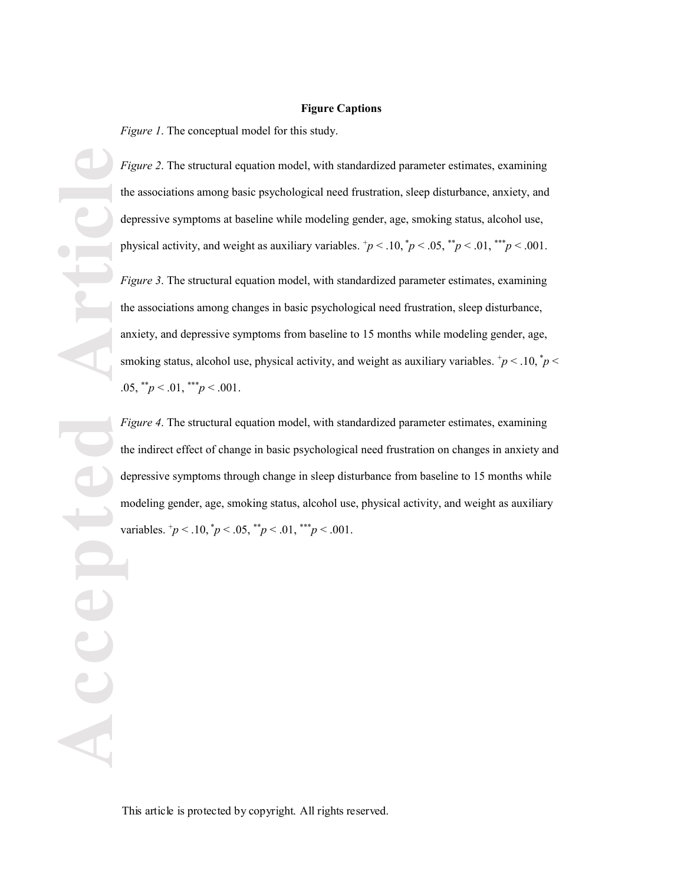#### **Figure Captions**

*Figure 1*. The conceptual model for this study.

*Figure 2*. The structural equation model, with standardized parameter estimates, examining the associations among basic psychological need frustration, sleep disturbance, anxiety, and depressive symptoms at baseline while modeling gender, age, smoking status, alcohol use, physical activity, and weight as auxiliary variables.  $\frac{1}{p}$  < .10,  $\frac{1}{p}$  < .05,  $\frac{1}{p}$  < .01,  $\frac{1}{p}$  < .001.

*Figure 3*. The structural equation model, with standardized parameter estimates, examining the associations among changes in basic psychological need frustration, sleep disturbance, anxiety, and depressive symptoms from baseline to 15 months while modeling gender, age, smoking status, alcohol use, physical activity, and weight as auxiliary variables.  $\phi$  < .10,  $\phi$  < .05, \*\**p* < .01, \*\*\**p* < .001.

*Figure 4*. The structural equation model, with standardized parameter estimates, examining the indirect effect of change in basic psychological need frustration on changes in anxiety and depressive symptoms through change in sleep disturbance from baseline to 15 months while modeling gender, age, smoking status, alcohol use, physical activity, and weight as auxiliary variables.  $^{\dagger}p$  < .10,  $^{\dagger}p$  < .05,  $^{\dagger}p$  < .01,  $^{\dagger}$  \*  $^{\dagger}p$  < .001.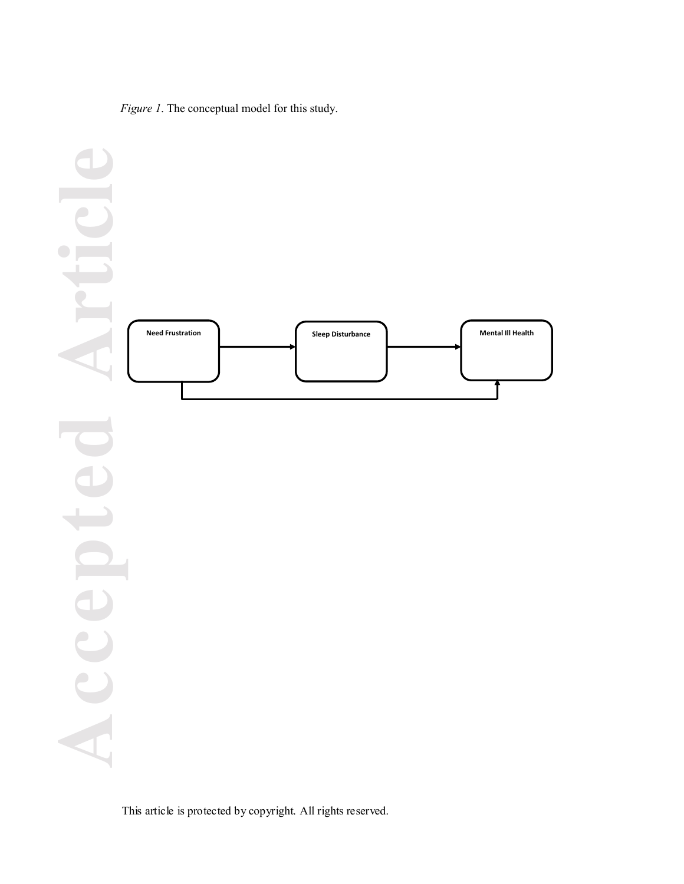*Figure 1*. The conceptual model for this study.

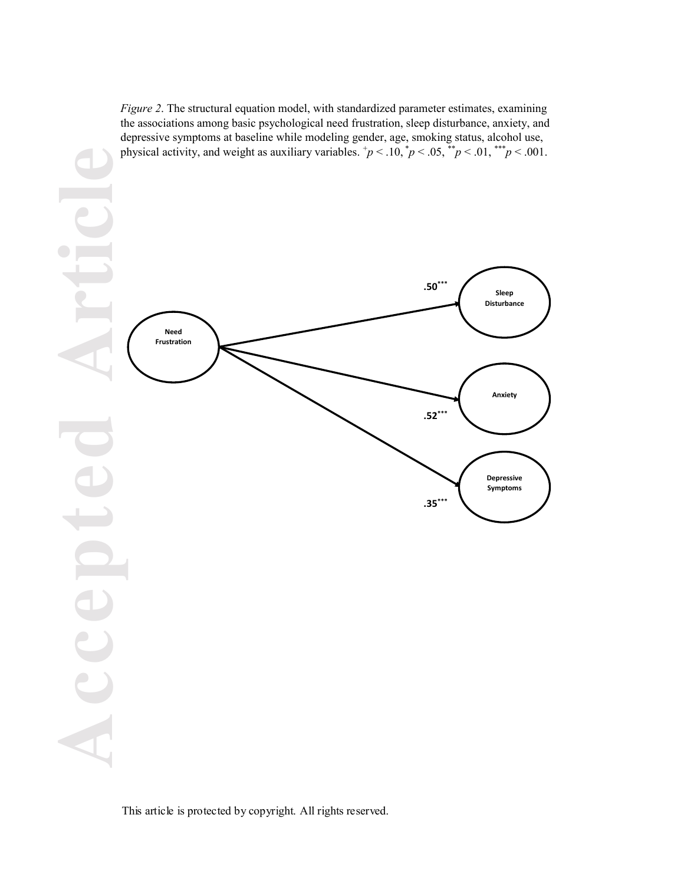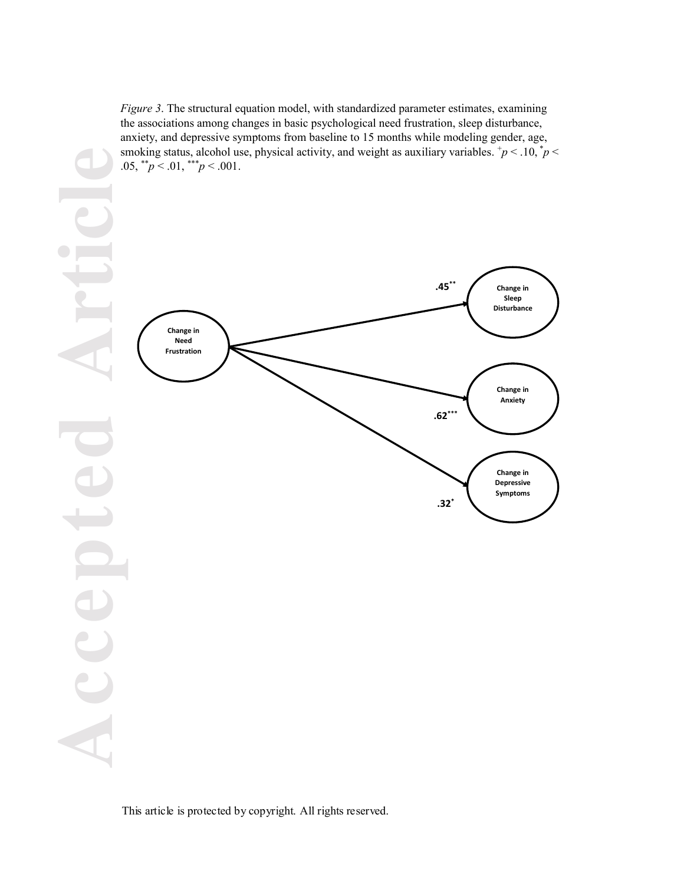*Figure 3*. The structural equation model, with standardized parameter estimates, examining the associations among changes in basic psychological need frustration, sleep disturbance, anxiety, and depressive symptoms from baseline to 15 months while modeling gender, age, smoking status, alcohol use, physical activity, and weight as auxiliary variables.  $\frac{1}{p}$  < .10,  $\frac{1}{p}$  < .05,  $*^{*}p < .01$ ,  $*^{**}p < .001$ .